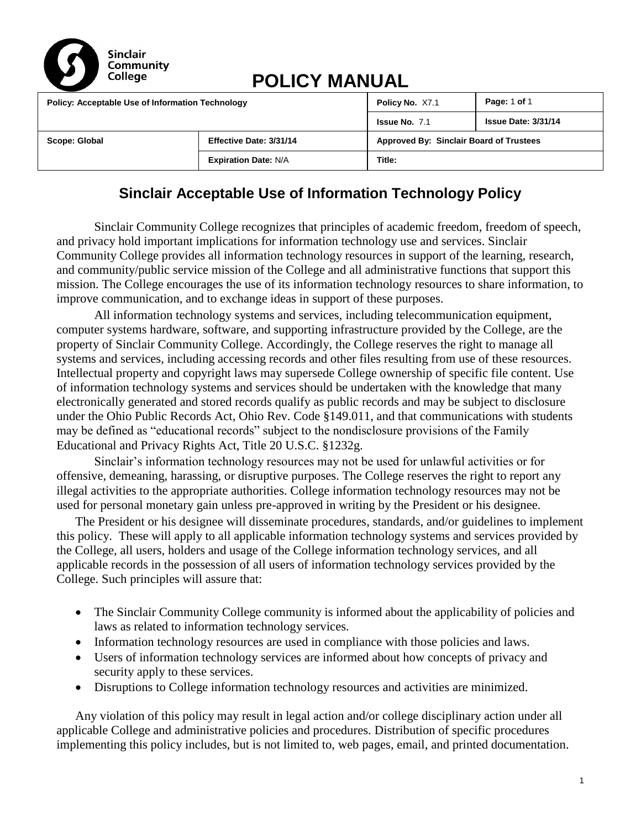

# **POLICY MANUAL**

| <b>Policy: Acceptable Use of Information Technology</b> |  | Policy No. X7.1                         | Page: 1 of 1               |
|---------------------------------------------------------|--|-----------------------------------------|----------------------------|
|                                                         |  | <b>Issue No. 7.1</b>                    | <b>Issue Date: 3/31/14</b> |
| Effective Date: 3/31/14<br>Scope: Global                |  | Approved By: Sinclair Board of Trustees |                            |
| <b>Expiration Date: N/A</b>                             |  | Title:                                  |                            |

## **Sinclair Acceptable Use of Information Technology Policy**

Sinclair Community College recognizes that principles of academic freedom, freedom of speech, and privacy hold important implications for information technology use and services. Sinclair Community College provides all information technology resources in support of the learning, research, and community/public service mission of the College and all administrative functions that support this mission. The College encourages the use of its information technology resources to share information, to improve communication, and to exchange ideas in support of these purposes.

All information technology systems and services, including telecommunication equipment, computer systems hardware, software, and supporting infrastructure provided by the College, are the property of Sinclair Community College. Accordingly, the College reserves the right to manage all systems and services, including accessing records and other files resulting from use of these resources. Intellectual property and copyright laws may supersede College ownership of specific file content. Use of information technology systems and services should be undertaken with the knowledge that many electronically generated and stored records qualify as public records and may be subject to disclosure under the Ohio Public Records Act, Ohio Rev. Code §149.011, and that communications with students may be defined as "educational records" subject to the nondisclosure provisions of the Family Educational and Privacy Rights Act, Title 20 U.S.C. §1232g.

Sinclair's information technology resources may not be used for unlawful activities or for offensive, demeaning, harassing, or disruptive purposes. The College reserves the right to report any illegal activities to the appropriate authorities. College information technology resources may not be used for personal monetary gain unless pre-approved in writing by the President or his designee.

The President or his designee will disseminate procedures, standards, and/or guidelines to implement this policy. These will apply to all applicable information technology systems and services provided by the College, all users, holders and usage of the College information technology services, and all applicable records in the possession of all users of information technology services provided by the College. Such principles will assure that:

- The Sinclair Community College community is informed about the applicability of policies and laws as related to information technology services.
- Information technology resources are used in compliance with those policies and laws.
- Users of information technology services are informed about how concepts of privacy and security apply to these services.
- Disruptions to College information technology resources and activities are minimized.

Any violation of this policy may result in legal action and/or college disciplinary action under all applicable College and administrative policies and procedures. Distribution of specific procedures implementing this policy includes, but is not limited to, web pages, email, and printed documentation.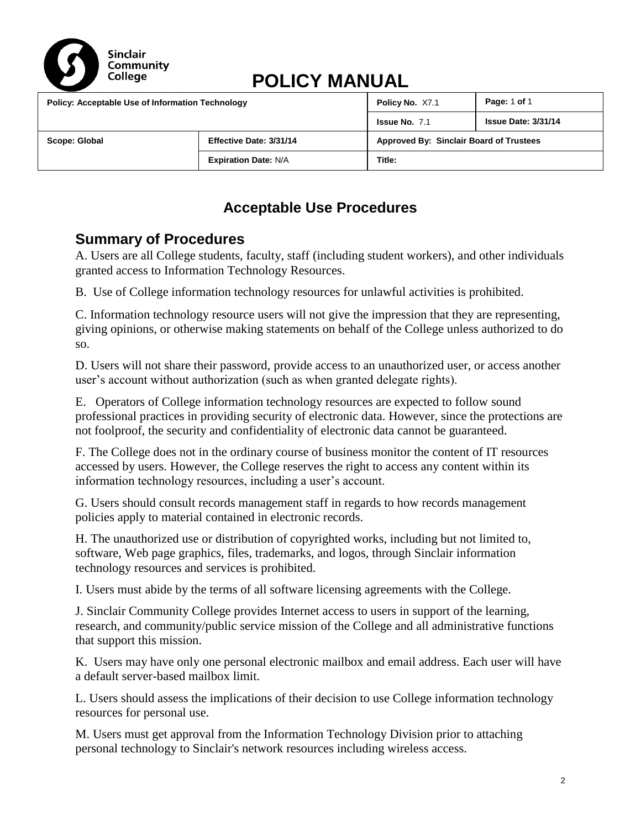

# **POLICY MANUAL**

| <b>Policy: Acceptable Use of Information Technology</b> |  | Policy No. X7.1                         | Page: 1 of 1               |
|---------------------------------------------------------|--|-----------------------------------------|----------------------------|
|                                                         |  | <b>Issue No. 7.1</b>                    | <b>Issue Date: 3/31/14</b> |
| Effective Date: 3/31/14<br>Scope: Global                |  | Approved By: Sinclair Board of Trustees |                            |
| <b>Expiration Date: N/A</b>                             |  | Title:                                  |                            |

### **Acceptable Use Procedures**

### **Summary of Procedures**

[A. Users are all College students, faculty, staff \(including student workers\), and other individuals](#page-4-0)  [granted access to Information Technology Resources.](#page-4-0)

[B. Use of College information technology resources for unlawful activities is prohibited.](#page-4-1)

[C. Information technology resource users will not give the impression that they are representing,](#page-5-0)  [giving opinions, or otherwise making statements on behalf of the College unless authorized to do](#page-5-0)  [so.](#page-5-0)

D. Users will not share their password, [provide access to an unauthorized user, or access another](#page-5-1)  [user's account without authorization \(such as when granted delegate rights\).](#page-5-1)

[E.](#page-7-0) Operators of College information technology resources are expected to follow sound professional practices in providing security of electronic data. However, since the protections are not foolproof, the security and confidentiality of electronic data cannot be guaranteed.

[F. The College does not in the ordinary course of business monitor the content of IT resources](#page-8-0)  [accessed by users. However, the College reserves the right to access any content within its](#page-8-0)  [information technology resources, including a user's account.](#page-8-0)

[G. Users should consult records management staff in regards to how records management](#page-9-0)  [policies apply to material contained in electronic records.](#page-9-0)

[H. The unauthorized use or distribution of copyrighted works, including but not limited to,](#page-9-1)  [software, Web page graphics, files, trademarks, and logos, through Sinclair information](#page-9-1)  [technology resources and services is prohibited.](#page-9-1)

[I. Users must abide by the terms of all software licensing agreements with](#page-10-0) the College.

[J. Sinclair Community College provides Internet access to users in support of the learning,](#page-10-1)  [research, and community/public service mission of the College and all administrative functions](#page-10-1)  [that support this mission.](#page-10-1)

[K.](#page-13-0) Users may have only one personal electronic mailbox and email address. Each user will have a default server-based mailbox limit.

L. Users should assess the implications of their decision to use College information technology resources for personal use.

[M. Users must get approval from the Information Technology Division prior to attaching](#page-13-1)  [personal technology to Sinclair's network resources including wireless access.](#page-13-1)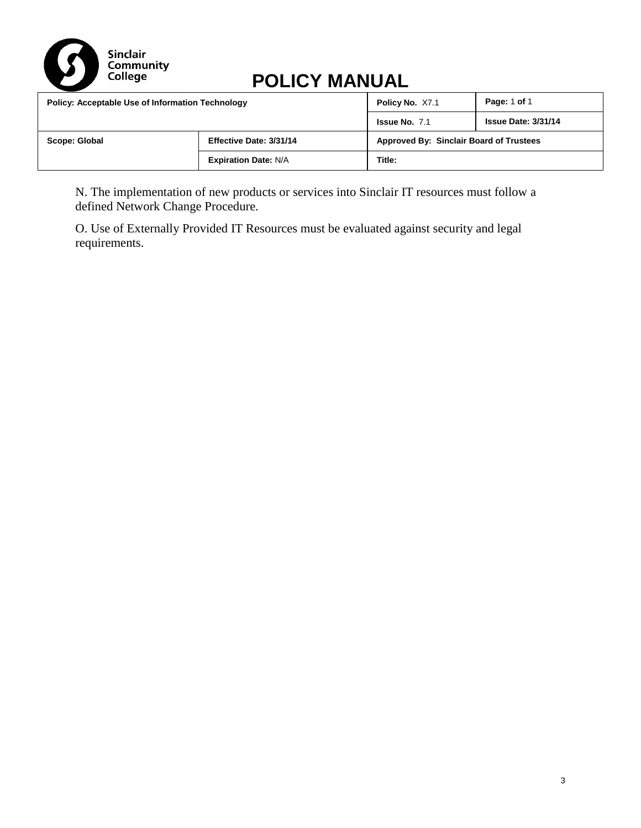

# **POLICY MANUAL**

| <b>Policy: Acceptable Use of Information Technology</b> |                         | Policy No. X7.1      | Page: 1 of 1                            |
|---------------------------------------------------------|-------------------------|----------------------|-----------------------------------------|
|                                                         |                         | <b>Issue No. 7.1</b> | <b>Issue Date: 3/31/14</b>              |
| Scope: Global                                           | Effective Date: 3/31/14 |                      | Approved By: Sinclair Board of Trustees |
| <b>Expiration Date: N/A</b>                             |                         | Title:               |                                         |

[N. The implementation of new products or services into Sinclair IT resources must follow a](#page-13-2)  defined [Network Change Procedure.](#page-13-2) 

O. Use of Externally Provided IT Resources must be evaluated against security and legal requirements.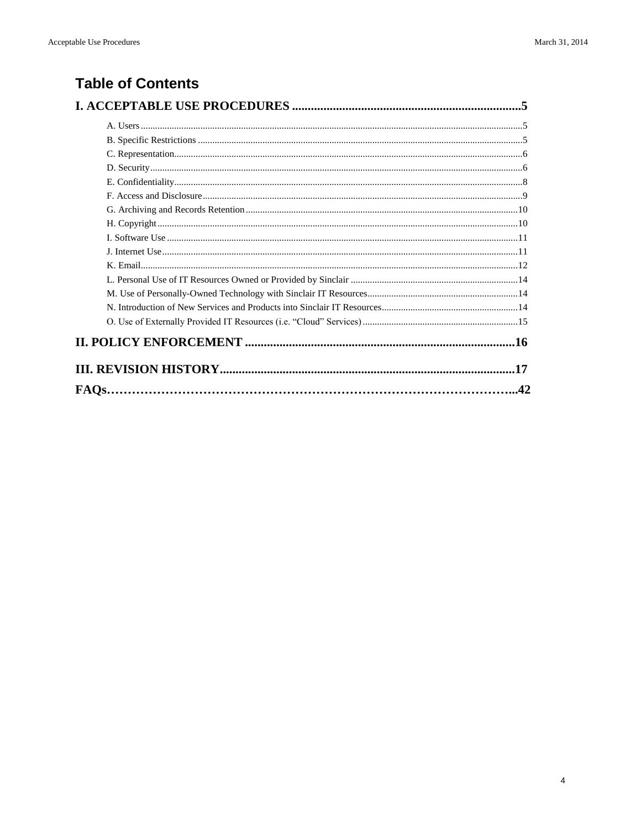## **Table of Contents**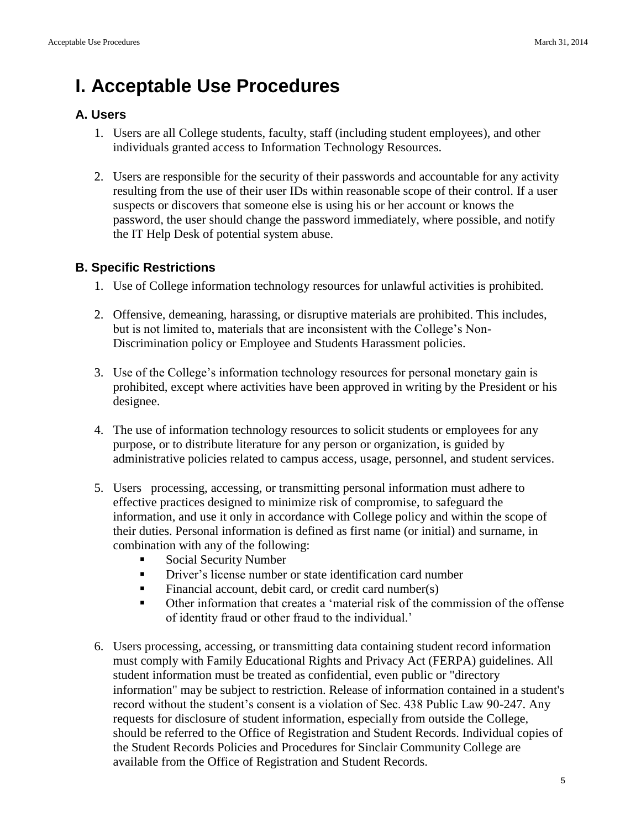# **I. Acceptable Use Procedures**

#### <span id="page-4-0"></span>**A. Users**

- 1. Users are all College students, faculty, staff (including student employees), and other individuals granted access to Information Technology Resources.
- 2. Users are responsible for the security of their passwords and accountable for any activity resulting from the use of their user IDs within reasonable scope of their control. If a user suspects or discovers that someone else is using his or her account or knows the password, the user should change the password immediately, where possible, and notify the IT Help Desk of potential system abuse.

#### <span id="page-4-1"></span>**B. Specific Restrictions**

- 1. Use of College information technology resources for unlawful activities is prohibited.
- 2. Offensive, demeaning, harassing, or disruptive materials are prohibited. This includes, but is not limited to, materials that are inconsistent with the College's Non-Discrimination policy or Employee and Students Harassment policies.
- 3. Use of the College's information technology resources for personal monetary gain is prohibited, except where activities have been approved in writing by the President or his designee.
- 4. The use of information technology resources to solicit students or employees for any purpose, or to distribute literature for any person or organization, is guided by administrative policies related to campus access, usage, personnel, and student services.
- 5. Users processing, accessing, or transmitting personal information must adhere to effective practices designed to minimize risk of compromise, to safeguard the information, and use it only in accordance with College policy and within the scope of their duties. Personal information is defined as first name (or initial) and surname, in combination with any of the following:
	- Social Security Number
	- Driver's license number or state identification card number
	- Financial account, debit card, or credit card number(s)
	- Other information that creates a 'material risk of the commission of the offense of identity fraud or other fraud to the individual.'
- 6. Users processing, accessing, or transmitting data containing student record information must comply with Family Educational Rights and Privacy Act (FERPA) guidelines. All student information must be treated as confidential, even public or "directory information" may be subject to restriction. Release of information contained in a student's record without the student's consent is a violation of Sec. 438 Public Law 90-247. Any requests for disclosure of student information, especially from outside the College, should be referred to the Office of Registration and Student Records. Individual copies of the Student Records Policies and Procedures for Sinclair Community College are available from the Office of Registration and Student Records.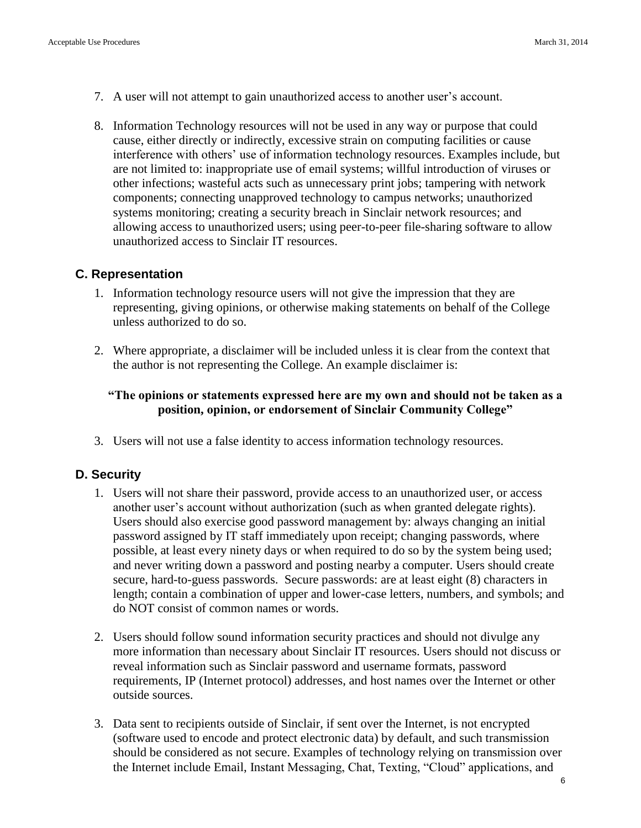- 7. A user will not attempt to gain unauthorized access to another user's account.
- 8. Information Technology resources will not be used in any way or purpose that could cause, either directly or indirectly, excessive strain on computing facilities or cause interference with others' use of information technology resources. Examples include, but are not limited to: inappropriate use of email systems; willful introduction of viruses or other infections; wasteful acts such as unnecessary print jobs; tampering with network components; connecting unapproved technology to campus networks; unauthorized systems monitoring; creating a security breach in Sinclair network resources; and allowing access to unauthorized users; using peer-to-peer file-sharing software to allow unauthorized access to Sinclair IT resources.

#### <span id="page-5-0"></span>**C. Representation**

- 1. Information technology resource users will not give the impression that they are representing, giving opinions, or otherwise making statements on behalf of the College unless authorized to do so.
- 2. Where appropriate, a disclaimer will be included unless it is clear from the context that the author is not representing the College. An example disclaimer is:

#### **"The opinions or statements expressed here are my own and should not be taken as a position, opinion, or endorsement of Sinclair Community College"**

3. Users will not use a false identity to access information technology resources.

#### <span id="page-5-1"></span>**D. Security**

- 1. Users will not share their password, provide access to an unauthorized user, or access another user's account without authorization (such as when granted delegate rights). Users should also exercise good password management by: always changing an initial password assigned by IT staff immediately upon receipt; changing passwords, where possible, at least every ninety days or when required to do so by the system being used; and never writing down a password and posting nearby a computer. Users should create secure, hard-to-guess passwords. Secure passwords: are at least eight (8) characters in length; contain a combination of upper and lower-case letters, numbers, and symbols; and do NOT consist of common names or words.
- 2. Users should follow sound information security practices and should not divulge any more information than necessary about Sinclair IT resources. Users should not discuss or reveal information such as Sinclair password and username formats, password requirements, IP (Internet protocol) addresses, and host names over the Internet or other outside sources.
- 3. Data sent to recipients outside of Sinclair, if sent over the Internet, is not encrypted (software used to encode and protect electronic data) by default, and such transmission should be considered as not secure. Examples of technology relying on transmission over the Internet include Email, Instant Messaging, Chat, Texting, "Cloud" applications, and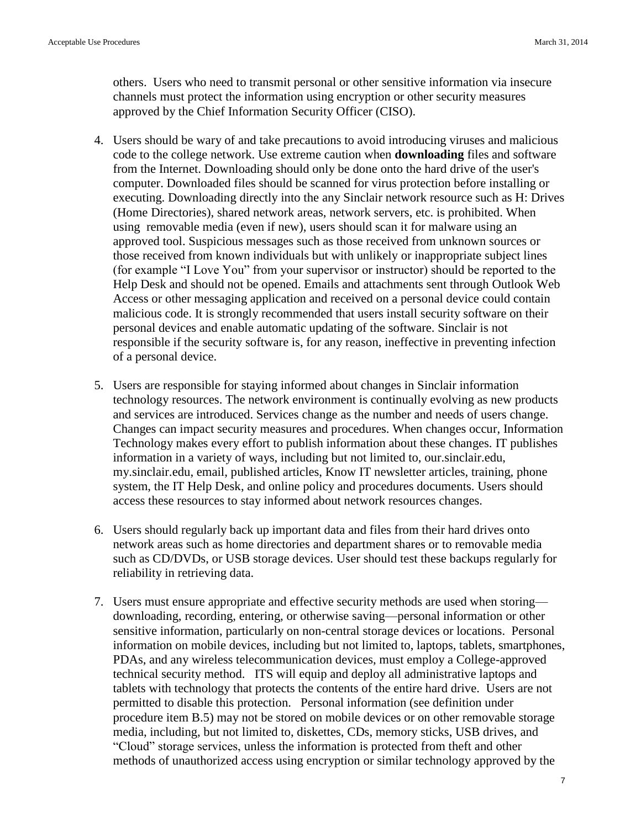others. Users who need to transmit personal or other sensitive information via insecure channels must protect the information using encryption or other security measures approved by the Chief Information Security Officer (CISO).

- 4. Users should be wary of and take precautions to avoid introducing viruses and malicious code to the college network. Use extreme caution when **downloading** files and software from the Internet. Downloading should only be done onto the hard drive of the user's computer. Downloaded files should be scanned for virus protection before installing or executing. Downloading directly into the any Sinclair network resource such as H: Drives (Home Directories), shared network areas, network servers, etc. is prohibited. When using removable media (even if new), users should scan it for malware using an approved tool. Suspicious messages such as those received from unknown sources or those received from known individuals but with unlikely or inappropriate subject lines (for example "I Love You" from your supervisor or instructor) should be reported to the Help Desk and should not be opened. Emails and attachments sent through Outlook Web Access or other messaging application and received on a personal device could contain malicious code. It is strongly recommended that users install security software on their personal devices and enable automatic updating of the software. Sinclair is not responsible if the security software is, for any reason, ineffective in preventing infection of a personal device.
- 5. Users are responsible for staying informed about changes in Sinclair information technology resources. The network environment is continually evolving as new products and services are introduced. Services change as the number and needs of users change. Changes can impact security measures and procedures. When changes occur, Information Technology makes every effort to publish information about these changes. IT publishes information in a variety of ways, including but not limited to, our.sinclair.edu, my.sinclair.edu, email, published articles, Know IT newsletter articles, training, phone system, the IT Help Desk, and online policy and procedures documents. Users should access these resources to stay informed about network resources changes.
- 6. Users should regularly back up important data and files from their hard drives onto network areas such as home directories and department shares or to removable media such as CD/DVDs, or USB storage devices. User should test these backups regularly for reliability in retrieving data.
- 7. Users must ensure appropriate and effective security methods are used when storing downloading, recording, entering, or otherwise saving—personal information or other sensitive information, particularly on non-central storage devices or locations. Personal information on mobile devices, including but not limited to, laptops, tablets, smartphones, PDAs, and any wireless telecommunication devices, must employ a College-approved technical security method. ITS will equip and deploy all administrative laptops and tablets with technology that protects the contents of the entire hard drive. Users are not permitted to disable this protection. Personal information (see definition under procedure item B.5) may not be stored on mobile devices or on other removable storage media, including, but not limited to, diskettes, CDs, memory sticks, USB drives, and "Cloud" storage services, unless the information is protected from theft and other methods of unauthorized access using encryption or similar technology approved by the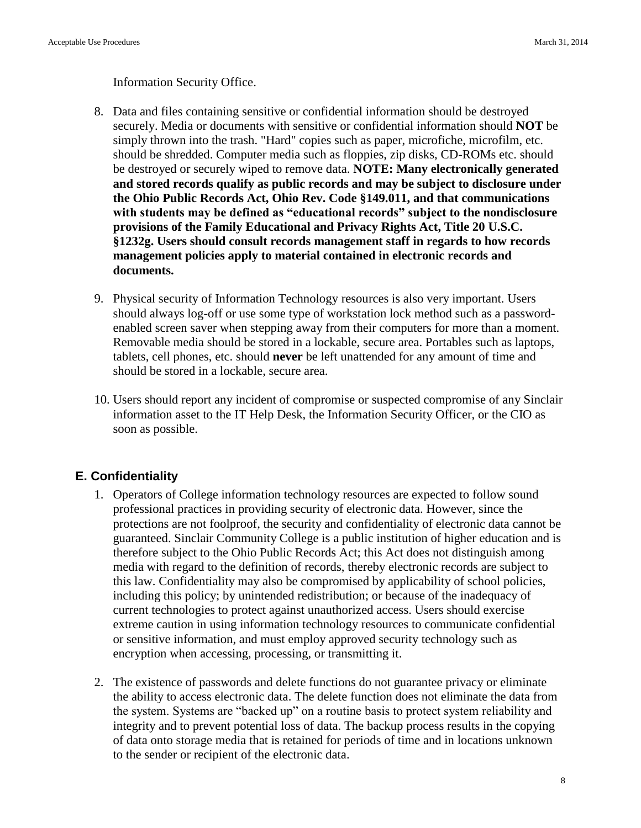Information Security Office.

- 8. Data and files containing sensitive or confidential information should be destroyed securely. Media or documents with sensitive or confidential information should **NOT** be simply thrown into the trash. "Hard" copies such as paper, microfiche, microfilm, etc. should be shredded. Computer media such as floppies, zip disks, CD-ROMs etc. should be destroyed or securely wiped to remove data. **NOTE: Many electronically generated and stored records qualify as public records and may be subject to disclosure under the Ohio Public Records Act, Ohio Rev. Code §149.011, and that communications with students may be defined as "educational records" subject to the nondisclosure provisions of the Family Educational and Privacy Rights Act, Title 20 U.S.C. §1232g. Users should consult records management staff in regards to how records management policies apply to material contained in electronic records and documents.**
- 9. Physical security of Information Technology resources is also very important. Users should always log-off or use some type of workstation lock method such as a passwordenabled screen saver when stepping away from their computers for more than a moment. Removable media should be stored in a lockable, secure area. Portables such as laptops, tablets, cell phones, etc. should **never** be left unattended for any amount of time and should be stored in a lockable, secure area.
- 10. Users should report any incident of compromise or suspected compromise of any Sinclair information asset to the IT Help Desk, the Information Security Officer, or the CIO as soon as possible.

#### <span id="page-7-0"></span>**E. Confidentiality**

- 1. Operators of College information technology resources are expected to follow sound professional practices in providing security of electronic data. However, since the protections are not foolproof, the security and confidentiality of electronic data cannot be guaranteed. Sinclair Community College is a public institution of higher education and is therefore subject to the Ohio Public Records Act; this Act does not distinguish among media with regard to the definition of records, thereby electronic records are subject to this law. Confidentiality may also be compromised by applicability of school policies, including this policy; by unintended redistribution; or because of the inadequacy of current technologies to protect against unauthorized access. Users should exercise extreme caution in using information technology resources to communicate confidential or sensitive information, and must employ approved security technology such as encryption when accessing, processing, or transmitting it.
- 2. The existence of passwords and delete functions do not guarantee privacy or eliminate the ability to access electronic data. The delete function does not eliminate the data from the system. Systems are "backed up" on a routine basis to protect system reliability and integrity and to prevent potential loss of data. The backup process results in the copying of data onto storage media that is retained for periods of time and in locations unknown to the sender or recipient of the electronic data.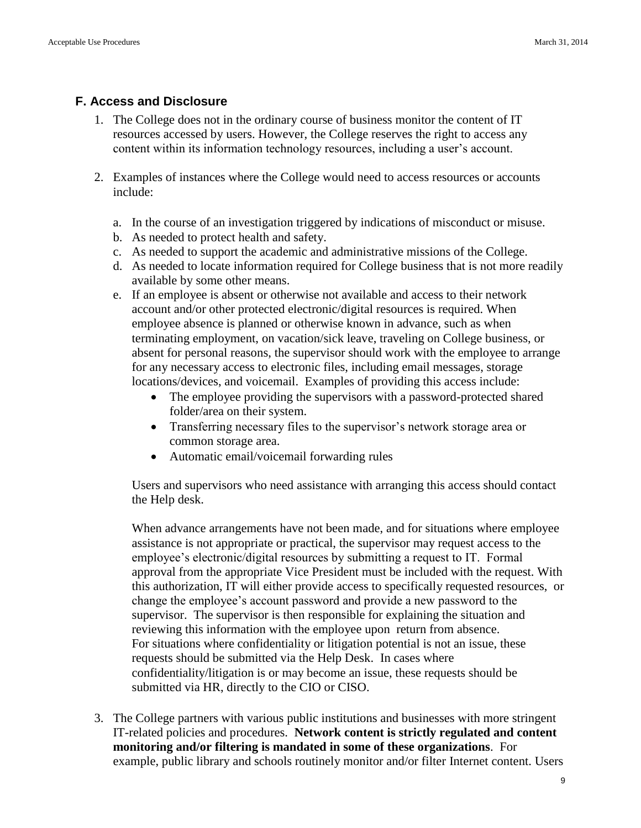#### <span id="page-8-0"></span>**F. Access and Disclosure**

- 1. The College does not in the ordinary course of business monitor the content of IT resources accessed by users. However, the College reserves the right to access any content within its information technology resources, including a user's account.
- 2. Examples of instances where the College would need to access resources or accounts include:
	- a. In the course of an investigation triggered by indications of misconduct or misuse.
	- b. As needed to protect health and safety.
	- c. As needed to support the academic and administrative missions of the College.
	- d. As needed to locate information required for College business that is not more readily available by some other means.
	- e. If an employee is absent or otherwise not available and access to their network account and/or other protected electronic/digital resources is required. When employee absence is planned or otherwise known in advance, such as when terminating employment, on vacation/sick leave, traveling on College business, or absent for personal reasons, the supervisor should work with the employee to arrange for any necessary access to electronic files, including email messages, storage locations/devices, and voicemail. Examples of providing this access include:
		- The employee providing the supervisors with a password-protected shared folder/area on their system.
		- Transferring necessary files to the supervisor's network storage area or common storage area.
		- Automatic email/voicemail forwarding rules

Users and supervisors who need assistance with arranging this access should contact the Help desk.

When advance arrangements have not been made, and for situations where employee assistance is not appropriate or practical, the supervisor may request access to the employee's electronic/digital resources by submitting a request to IT. Formal approval from the appropriate Vice President must be included with the request. With this authorization, IT will either provide access to specifically requested resources, or change the employee's account password and provide a new password to the supervisor. The supervisor is then responsible for explaining the situation and reviewing this information with the employee upon return from absence. For situations where confidentiality or litigation potential is not an issue, these requests should be submitted via the Help Desk. In cases where confidentiality/litigation is or may become an issue, these requests should be submitted via HR, directly to the CIO or CISO.

3. The College partners with various public institutions and businesses with more stringent IT-related policies and procedures. **Network content is strictly regulated and content monitoring and/or filtering is mandated in some of these organizations**. For example, public library and schools routinely monitor and/or filter Internet content. Users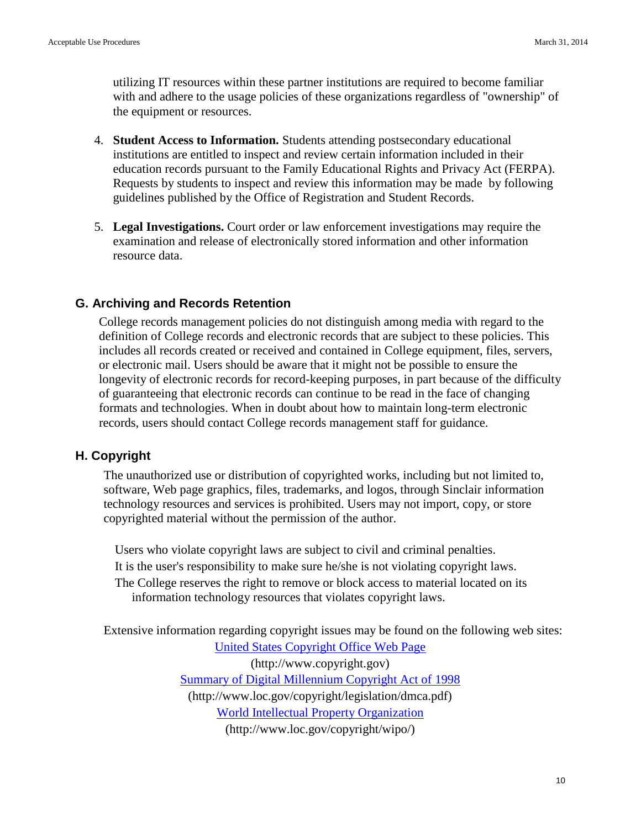utilizing IT resources within these partner institutions are required to become familiar with and adhere to the usage policies of these organizations regardless of "ownership" of the equipment or resources.

- 4. **Student Access to Information.** Students attending postsecondary educational institutions are entitled to inspect and review certain information included in their education records pursuant to the Family Educational Rights and Privacy Act (FERPA). Requests by students to inspect and review this information may be made by following guidelines published by the Office of Registration and Student Records.
- 5. **Legal Investigations.** Court order or law enforcement investigations may require the examination and release of electronically stored information and other information resource data.

#### <span id="page-9-0"></span>**G. Archiving and Records Retention**

College records management policies do not distinguish among media with regard to the definition of College records and electronic records that are subject to these policies. This includes all records created or received and contained in College equipment, files, servers, or electronic mail. Users should be aware that it might not be possible to ensure the longevity of electronic records for record-keeping purposes, in part because of the difficulty of guaranteeing that electronic records can continue to be read in the face of changing formats and technologies. When in doubt about how to maintain long-term electronic records, users should contact College records management staff for guidance.

#### <span id="page-9-1"></span>**H. Copyright**

The unauthorized use or distribution of copyrighted works, including but not limited to, software, Web page graphics, files, trademarks, and logos, through Sinclair information technology resources and services is prohibited. Users may not import, copy, or store copyrighted material without the permission of the author.

Users who violate copyright laws are subject to civil and criminal penalties. It is the user's responsibility to make sure he/she is not violating copyright laws. The College reserves the right to remove or block access to material located on its information technology resources that violates copyright laws.

Extensive information regarding copyright issues may be found on the following web sites: [United States Copyright Office Web Page](http://www.copyright.gov/) (http://www.copyright.gov) [Summary of Digital Millennium Copyright Act of 1998](http://www.loc.gov/copyright/legislation/dmca.pdf) (http://www.loc.gov/copyright/legislation/dmca.pdf) [World Intellectual Property Organization](http://www.loc.gov/copyright/wipo/) (http://www.loc.gov/copyright/wipo/)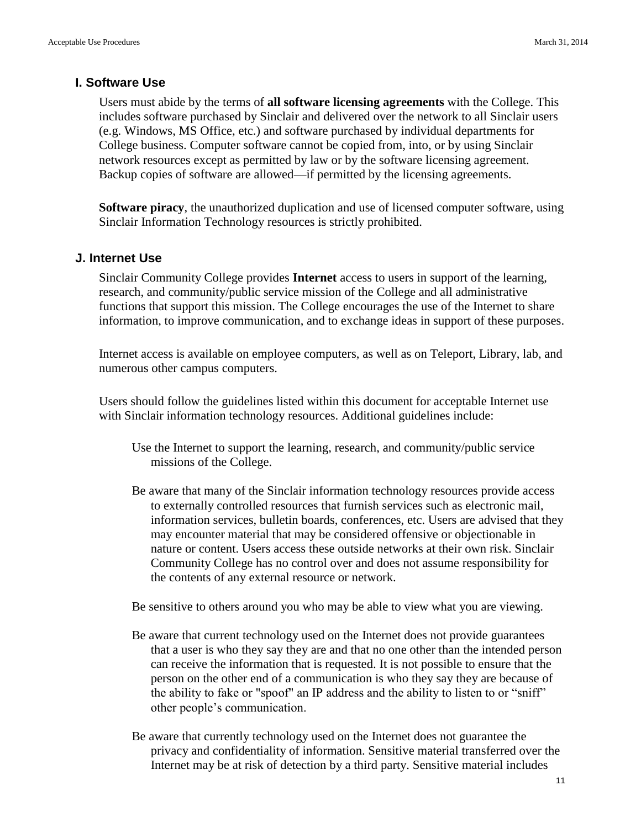#### <span id="page-10-0"></span>**I. Software Use**

Users must abide by the terms of **all software licensing agreements** with the College. This includes software purchased by Sinclair and delivered over the network to all Sinclair users (e.g. Windows, MS Office, etc.) and software purchased by individual departments for College business. Computer software cannot be copied from, into, or by using Sinclair network resources except as permitted by law or by the software licensing agreement. Backup copies of software are allowed—if permitted by the licensing agreements.

**Software piracy**, the unauthorized duplication and use of licensed computer software, using Sinclair Information Technology resources is strictly prohibited.

#### <span id="page-10-1"></span>**J. Internet Use**

Sinclair Community College provides **Internet** access to users in support of the learning, research, and community/public service mission of the College and all administrative functions that support this mission. The College encourages the use of the Internet to share information, to improve communication, and to exchange ideas in support of these purposes.

Internet access is available on employee computers, as well as on Teleport, Library, lab, and numerous other campus computers.

Users should follow the guidelines listed within this document for acceptable Internet use with Sinclair information technology resources. Additional guidelines include:

- Use the Internet to support the learning, research, and community/public service missions of the College.
- Be aware that many of the Sinclair information technology resources provide access to externally controlled resources that furnish services such as electronic mail, information services, bulletin boards, conferences, etc. Users are advised that they may encounter material that may be considered offensive or objectionable in nature or content. Users access these outside networks at their own risk. Sinclair Community College has no control over and does not assume responsibility for the contents of any external resource or network.

Be sensitive to others around you who may be able to view what you are viewing.

- Be aware that current technology used on the Internet does not provide guarantees that a user is who they say they are and that no one other than the intended person can receive the information that is requested. It is not possible to ensure that the person on the other end of a communication is who they say they are because of the ability to fake or "spoof" an IP address and the ability to listen to or "sniff" other people's communication.
- Be aware that currently technology used on the Internet does not guarantee the privacy and confidentiality of information. Sensitive material transferred over the Internet may be at risk of detection by a third party. Sensitive material includes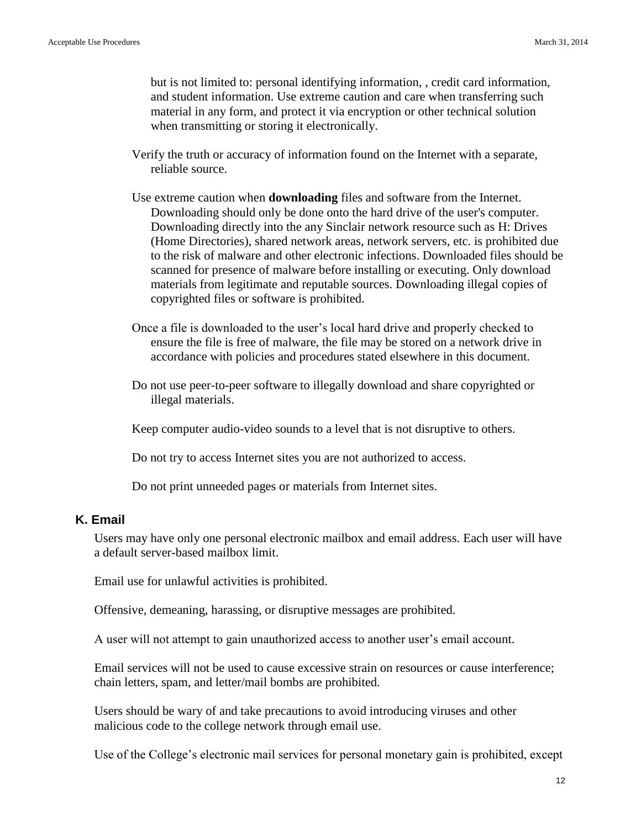but is not limited to: personal identifying information, , credit card information, and student information. Use extreme caution and care when transferring such material in any form, and protect it via encryption or other technical solution when transmitting or storing it electronically.

- Verify the truth or accuracy of information found on the Internet with a separate, reliable source.
- Use extreme caution when **downloading** files and software from the Internet. Downloading should only be done onto the hard drive of the user's computer. Downloading directly into the any Sinclair network resource such as H: Drives (Home Directories), shared network areas, network servers, etc. is prohibited due to the risk of malware and other electronic infections. Downloaded files should be scanned for presence of malware before installing or executing. Only download materials from legitimate and reputable sources. Downloading illegal copies of copyrighted files or software is prohibited.
- Once a file is downloaded to the user's local hard drive and properly checked to ensure the file is free of malware, the file may be stored on a network drive in accordance with policies and procedures stated elsewhere in this document.
- Do not use peer-to-peer software to illegally download and share copyrighted or illegal materials.

Keep computer audio-video sounds to a level that is not disruptive to others.

Do not try to access Internet sites you are not authorized to access.

Do not print unneeded pages or materials from Internet sites.

#### **K. Email**

Users may have only one personal electronic mailbox and email address. Each user will have a default server-based mailbox limit.

Email use for unlawful activities is prohibited.

Offensive, demeaning, harassing, or disruptive messages are prohibited.

A user will not attempt to gain unauthorized access to another user's email account.

Email services will not be used to cause excessive strain on resources or cause interference; chain letters, spam, and letter/mail bombs are prohibited.

Users should be wary of and take precautions to avoid introducing viruses and other malicious code to the college network through email use.

Use of the College's electronic mail services for personal monetary gain is prohibited, except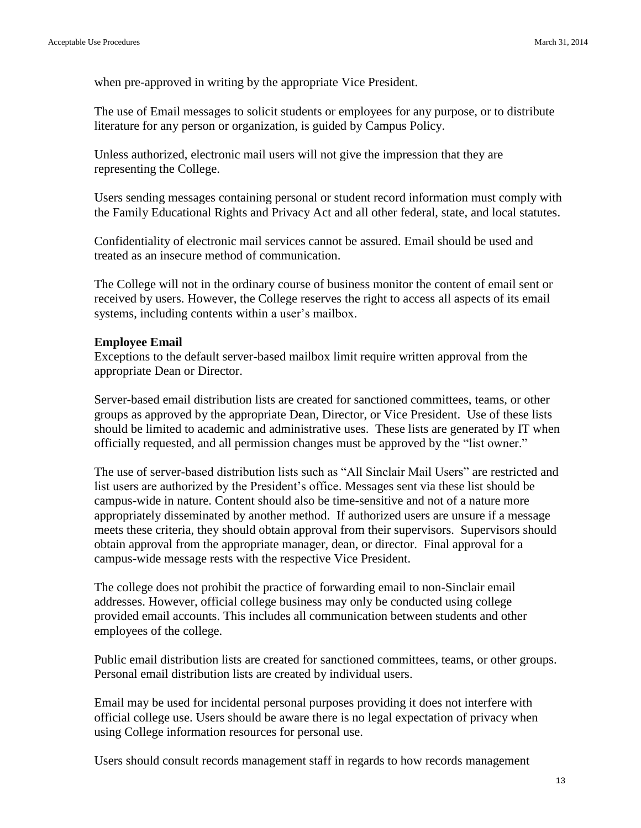when pre-approved in writing by the appropriate Vice President.

The use of Email messages to solicit students or employees for any purpose, or to distribute literature for any person or organization, is guided by Campus Policy.

Unless authorized, electronic mail users will not give the impression that they are representing the College.

Users sending messages containing personal or student record information must comply with the Family Educational Rights and Privacy Act and all other federal, state, and local statutes.

Confidentiality of electronic mail services cannot be assured. Email should be used and treated as an insecure method of communication.

The College will not in the ordinary course of business monitor the content of email sent or received by users. However, the College reserves the right to access all aspects of its email systems, including contents within a user's mailbox.

#### **Employee Email**

Exceptions to the default server-based mailbox limit require written approval from the appropriate Dean or Director.

Server-based email distribution lists are created for sanctioned committees, teams, or other groups as approved by the appropriate Dean, Director, or Vice President. Use of these lists should be limited to academic and administrative uses. These lists are generated by IT when officially requested, and all permission changes must be approved by the "list owner."

The use of server-based distribution lists such as "All Sinclair Mail Users" are restricted and list users are authorized by the President's office. Messages sent via these list should be campus-wide in nature. Content should also be time-sensitive and not of a nature more appropriately disseminated by another method. If authorized users are unsure if a message meets these criteria, they should obtain approval from their supervisors. Supervisors should obtain approval from the appropriate manager, dean, or director. Final approval for a campus-wide message rests with the respective Vice President.

The college does not prohibit the practice of forwarding email to non-Sinclair email addresses. However, official college business may only be conducted using college provided email accounts. This includes all communication between students and other employees of the college.

Public email distribution lists are created for sanctioned committees, teams, or other groups. Personal email distribution lists are created by individual users.

Email may be used for incidental personal purposes providing it does not interfere with official college use. Users should be aware there is no legal expectation of privacy when using College information resources for personal use.

Users should consult records management staff in regards to how records management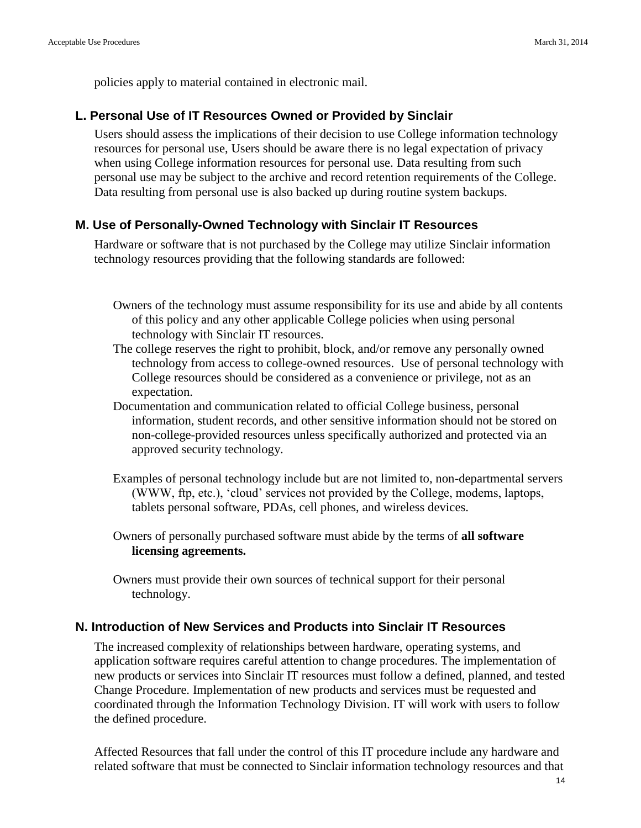policies apply to material contained in electronic mail.

#### <span id="page-13-0"></span>**L. Personal Use of IT Resources Owned or Provided by Sinclair**

Users should assess the implications of their decision to use College information technology resources for personal use, Users should be aware there is no legal expectation of privacy when using College information resources for personal use. Data resulting from such personal use may be subject to the archive and record retention requirements of the College. Data resulting from personal use is also backed up during routine system backups.

#### <span id="page-13-1"></span>**M. Use of Personally-Owned Technology with Sinclair IT Resources**

Hardware or software that is not purchased by the College may utilize Sinclair information technology resources providing that the following standards are followed:

- Owners of the technology must assume responsibility for its use and abide by all contents of this policy and any other applicable College policies when using personal technology with Sinclair IT resources.
- The college reserves the right to prohibit, block, and/or remove any personally owned technology from access to college-owned resources. Use of personal technology with College resources should be considered as a convenience or privilege, not as an expectation.
- Documentation and communication related to official College business, personal information, student records, and other sensitive information should not be stored on non-college-provided resources unless specifically authorized and protected via an approved security technology.
- Examples of personal technology include but are not limited to, non-departmental servers (WWW, ftp, etc.), 'cloud' services not provided by the College, modems, laptops, tablets personal software, PDAs, cell phones, and wireless devices.
- Owners of personally purchased software must abide by the terms of **all software licensing agreements.**
- Owners must provide their own sources of technical support for their personal technology.

#### <span id="page-13-2"></span>**N. Introduction of New Services and Products into Sinclair IT Resources**

The increased complexity of relationships between hardware, operating systems, and application software requires careful attention to change procedures. The implementation of new products or services into Sinclair IT resources must follow a defined, planned, and tested Change Procedure. Implementation of new products and services must be requested and coordinated through the Information Technology Division. IT will work with users to follow the defined procedure.

Affected Resources that fall under the control of this IT procedure include any hardware and related software that must be connected to Sinclair information technology resources and that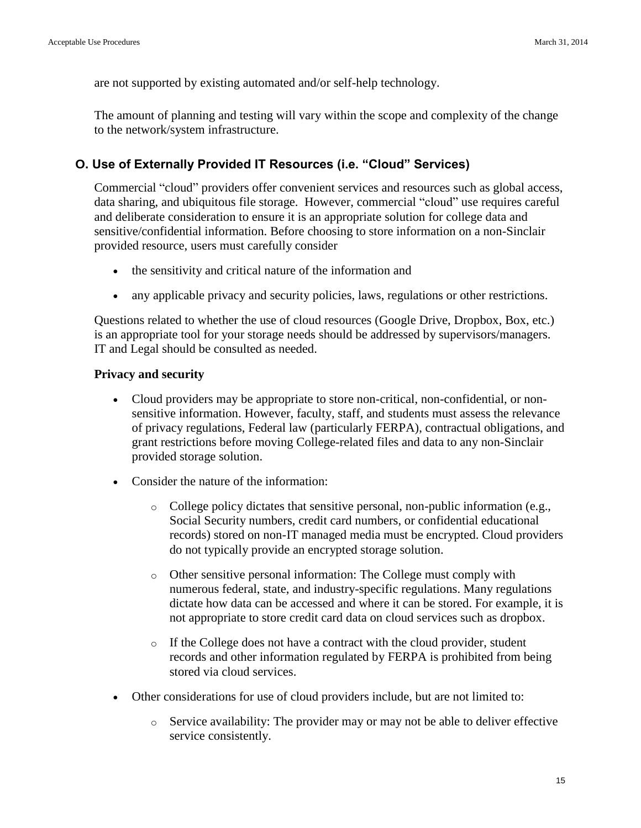are not supported by existing automated and/or self-help technology.

The amount of planning and testing will vary within the scope and complexity of the change to the network/system infrastructure.

#### **O. Use of Externally Provided IT Resources (i.e. "Cloud" Services)**

Commercial "cloud" providers offer convenient services and resources such as global access, data sharing, and ubiquitous file storage. However, commercial "cloud" use requires careful and deliberate consideration to ensure it is an appropriate solution for college data and sensitive/confidential information. Before choosing to store information on a non-Sinclair provided resource, users must carefully consider

- the sensitivity and critical nature of the information and
- any applicable privacy and security policies, laws, regulations or other restrictions.

Questions related to whether the use of cloud resources (Google Drive, Dropbox, Box, etc.) is an appropriate tool for your storage needs should be addressed by supervisors/managers. IT and Legal should be consulted as needed.

#### **Privacy and security**

- Cloud providers may be appropriate to store non-critical, non-confidential, or nonsensitive information. However, faculty, staff, and students must assess the relevance of privacy regulations, Federal law (particularly FERPA), contractual obligations, and grant restrictions before moving College-related files and data to any non-Sinclair provided storage solution.
- Consider the nature of the information:
	- $\circ$  College policy dictates that sensitive personal, non-public information (e.g., Social Security numbers, credit card numbers, or confidential educational records) stored on non-IT managed media must be encrypted. Cloud providers do not typically provide an encrypted storage solution.
	- o Other sensitive personal information: The College must comply with numerous federal, state, and industry-specific regulations. Many regulations dictate how data can be accessed and where it can be stored. For example, it is not appropriate to store credit card data on cloud services such as dropbox.
	- o If the College does not have a contract with the cloud provider, student records and other information regulated by FERPA is prohibited from being stored via cloud services.
- Other considerations for use of cloud providers include, but are not limited to:
	- o Service availability: The provider may or may not be able to deliver effective service consistently.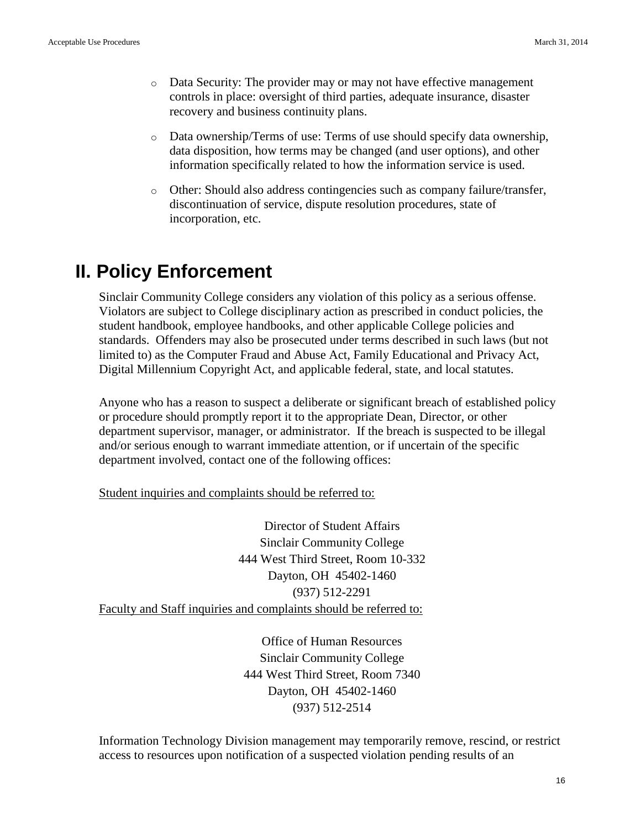- $\circ$  Data Security: The provider may or may not have effective management controls in place: oversight of third parties, adequate insurance, disaster recovery and business continuity plans.
- o Data ownership/Terms of use: Terms of use should specify data ownership, data disposition, how terms may be changed (and user options), and other information specifically related to how the information service is used.
- o Other: Should also address contingencies such as company failure/transfer, discontinuation of service, dispute resolution procedures, state of incorporation, etc.

## **II. Policy Enforcement**

Sinclair Community College considers any violation of this policy as a serious offense. Violators are subject to College disciplinary action as prescribed in conduct policies, the student handbook, employee handbooks, and other applicable College policies and standards. Offenders may also be prosecuted under terms described in such laws (but not limited to) as the Computer Fraud and Abuse Act, Family Educational and Privacy Act, Digital Millennium Copyright Act, and applicable federal, state, and local statutes.

Anyone who has a reason to suspect a deliberate or significant breach of established policy or procedure should promptly report it to the appropriate Dean, Director, or other department supervisor, manager, or administrator. If the breach is suspected to be illegal and/or serious enough to warrant immediate attention, or if uncertain of the specific department involved, contact one of the following offices:

Student inquiries and complaints should be referred to:

Director of Student Affairs Sinclair Community College 444 West Third Street, Room 10-332 Dayton, OH 45402-1460 (937) 512-2291 Faculty and Staff inquiries and complaints should be referred to:

> Office of Human Resources Sinclair Community College 444 West Third Street, Room 7340 Dayton, OH 45402-1460 (937) 512-2514

Information Technology Division management may temporarily remove, rescind, or restrict access to resources upon notification of a suspected violation pending results of an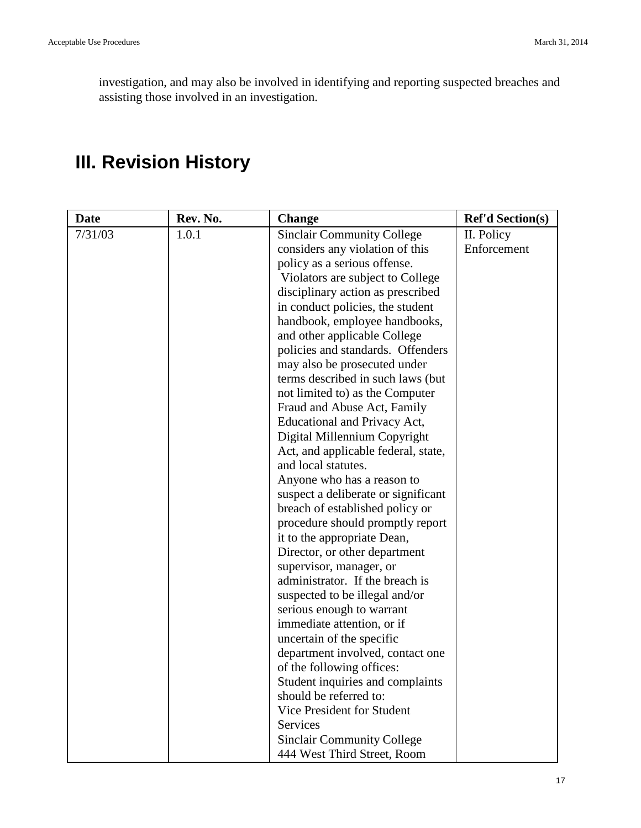investigation, and may also be involved in identifying and reporting suspected breaches and assisting those involved in an investigation.

# **III. Revision History**

| <b>Date</b> | Rev. No. | <b>Change</b>                       | <b>Ref'd Section(s)</b> |
|-------------|----------|-------------------------------------|-------------------------|
| 7/31/03     | 1.0.1    | <b>Sinclair Community College</b>   | II. Policy              |
|             |          | considers any violation of this     | Enforcement             |
|             |          | policy as a serious offense.        |                         |
|             |          | Violators are subject to College    |                         |
|             |          | disciplinary action as prescribed   |                         |
|             |          | in conduct policies, the student    |                         |
|             |          | handbook, employee handbooks,       |                         |
|             |          | and other applicable College        |                         |
|             |          | policies and standards. Offenders   |                         |
|             |          | may also be prosecuted under        |                         |
|             |          | terms described in such laws (but)  |                         |
|             |          | not limited to) as the Computer     |                         |
|             |          | Fraud and Abuse Act, Family         |                         |
|             |          | Educational and Privacy Act,        |                         |
|             |          | Digital Millennium Copyright        |                         |
|             |          | Act, and applicable federal, state, |                         |
|             |          | and local statutes.                 |                         |
|             |          | Anyone who has a reason to          |                         |
|             |          | suspect a deliberate or significant |                         |
|             |          | breach of established policy or     |                         |
|             |          | procedure should promptly report    |                         |
|             |          | it to the appropriate Dean,         |                         |
|             |          | Director, or other department       |                         |
|             |          | supervisor, manager, or             |                         |
|             |          | administrator. If the breach is     |                         |
|             |          | suspected to be illegal and/or      |                         |
|             |          | serious enough to warrant           |                         |
|             |          | immediate attention, or if          |                         |
|             |          | uncertain of the specific           |                         |
|             |          | department involved, contact one    |                         |
|             |          | of the following offices:           |                         |
|             |          | Student inquiries and complaints    |                         |
|             |          | should be referred to:              |                         |
|             |          | Vice President for Student          |                         |
|             |          | <b>Services</b>                     |                         |
|             |          | <b>Sinclair Community College</b>   |                         |
|             |          | 444 West Third Street, Room         |                         |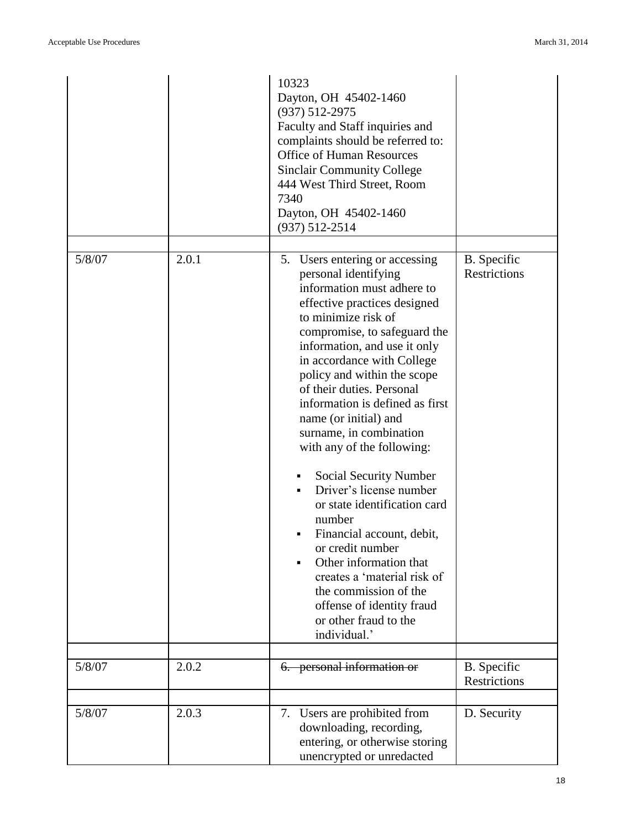|        |       | 10323<br>Dayton, OH 45402-1460<br>$(937) 512 - 2975$<br>Faculty and Staff inquiries and<br>complaints should be referred to:<br><b>Office of Human Resources</b><br><b>Sinclair Community College</b><br>444 West Third Street, Room<br>7340<br>Dayton, OH 45402-1460<br>$(937) 512 - 2514$                                                                                                                                                                                                                                                                                                                                                                                                                                        |                                    |
|--------|-------|------------------------------------------------------------------------------------------------------------------------------------------------------------------------------------------------------------------------------------------------------------------------------------------------------------------------------------------------------------------------------------------------------------------------------------------------------------------------------------------------------------------------------------------------------------------------------------------------------------------------------------------------------------------------------------------------------------------------------------|------------------------------------|
| 5/8/07 | 2.0.1 | 5. Users entering or accessing<br>personal identifying<br>information must adhere to<br>effective practices designed<br>to minimize risk of<br>compromise, to safeguard the<br>information, and use it only<br>in accordance with College<br>policy and within the scope<br>of their duties. Personal<br>information is defined as first<br>name (or initial) and<br>surname, in combination<br>with any of the following:<br>Social Security Number<br>Driver's license number<br>or state identification card<br>number<br>Financial account, debit,<br>or credit number<br>Other information that<br>creates a 'material risk of<br>the commission of the<br>offense of identity fraud<br>or other fraud to the<br>individual.' | B. Specific<br><b>Restrictions</b> |
| 5/8/07 | 2.0.2 | 6. personal information or                                                                                                                                                                                                                                                                                                                                                                                                                                                                                                                                                                                                                                                                                                         | B. Specific<br>Restrictions        |
| 5/8/07 | 2.0.3 | 7. Users are prohibited from<br>downloading, recording,<br>entering, or otherwise storing<br>unencrypted or unredacted                                                                                                                                                                                                                                                                                                                                                                                                                                                                                                                                                                                                             | D. Security                        |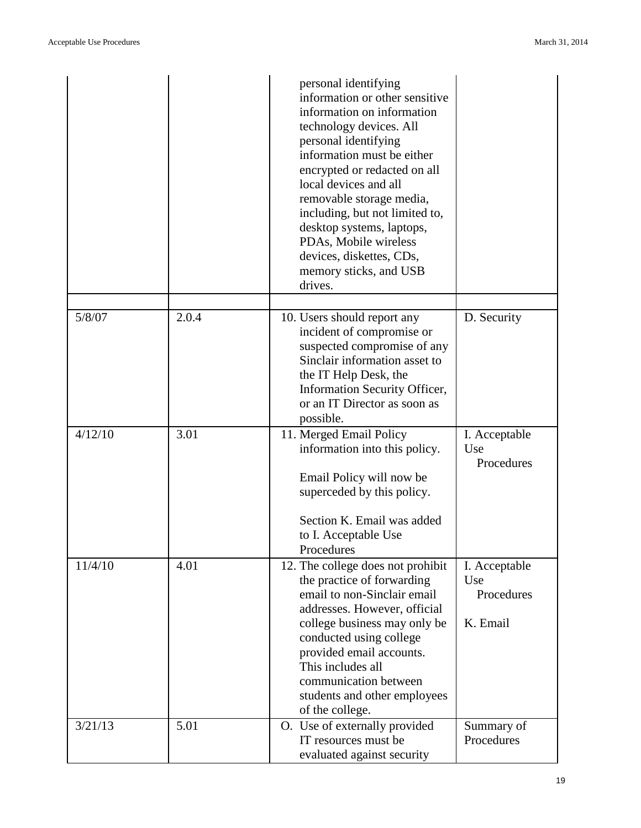|         |       | personal identifying<br>information or other sensitive<br>information on information<br>technology devices. All<br>personal identifying<br>information must be either<br>encrypted or redacted on all<br>local devices and all<br>removable storage media,<br>including, but not limited to,<br>desktop systems, laptops,<br>PDAs, Mobile wireless<br>devices, diskettes, CDs,<br>memory sticks, and USB<br>drives. |                                                |
|---------|-------|---------------------------------------------------------------------------------------------------------------------------------------------------------------------------------------------------------------------------------------------------------------------------------------------------------------------------------------------------------------------------------------------------------------------|------------------------------------------------|
| 5/8/07  | 2.0.4 | 10. Users should report any<br>incident of compromise or<br>suspected compromise of any<br>Sinclair information asset to<br>the IT Help Desk, the<br>Information Security Officer,<br>or an IT Director as soon as<br>possible.                                                                                                                                                                                     | D. Security                                    |
| 4/12/10 | 3.01  | 11. Merged Email Policy<br>information into this policy.<br>Email Policy will now be<br>superceded by this policy.<br>Section K. Email was added<br>to I. Acceptable Use<br>Procedures                                                                                                                                                                                                                              | I. Acceptable<br>Use<br>Procedures             |
| 11/4/10 | 4.01  | 12. The college does not prohibit<br>the practice of forwarding<br>email to non-Sinclair email<br>addresses. However, official<br>college business may only be<br>conducted using college<br>provided email accounts.<br>This includes all<br>communication between<br>students and other employees<br>of the college.                                                                                              | I. Acceptable<br>Use<br>Procedures<br>K. Email |
| 3/21/13 | 5.01  | O. Use of externally provided<br>IT resources must be<br>evaluated against security                                                                                                                                                                                                                                                                                                                                 | Summary of<br>Procedures                       |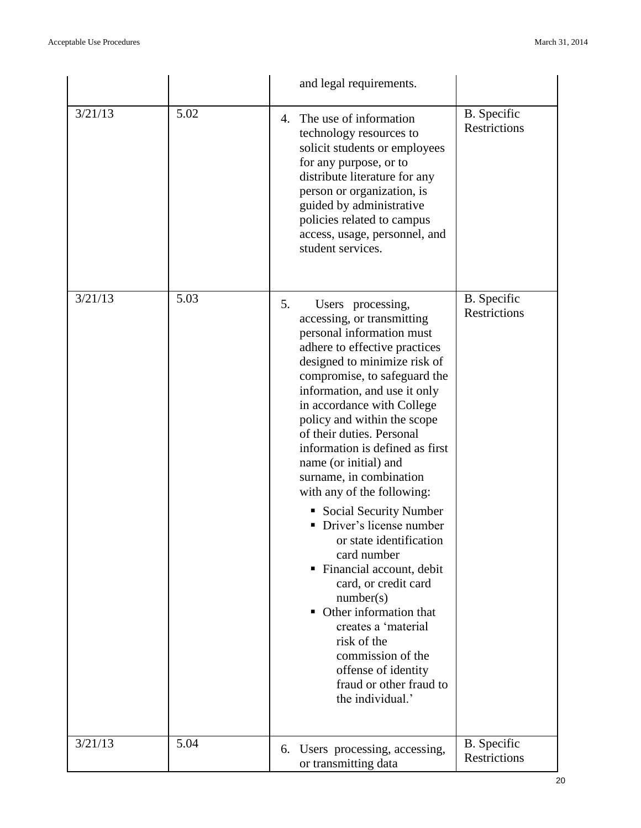|         |      | and legal requirements.                                                                                                                                                                                                                                                                                                                                                                                                                                                                                                                                                                                                                                                                                                                                             |                                           |
|---------|------|---------------------------------------------------------------------------------------------------------------------------------------------------------------------------------------------------------------------------------------------------------------------------------------------------------------------------------------------------------------------------------------------------------------------------------------------------------------------------------------------------------------------------------------------------------------------------------------------------------------------------------------------------------------------------------------------------------------------------------------------------------------------|-------------------------------------------|
| 3/21/13 | 5.02 | The use of information<br>4.<br>technology resources to<br>solicit students or employees<br>for any purpose, or to<br>distribute literature for any<br>person or organization, is<br>guided by administrative<br>policies related to campus<br>access, usage, personnel, and<br>student services.                                                                                                                                                                                                                                                                                                                                                                                                                                                                   | B. Specific<br><b>Restrictions</b>        |
| 3/21/13 | 5.03 | 5.<br>Users processing,<br>accessing, or transmitting<br>personal information must<br>adhere to effective practices<br>designed to minimize risk of<br>compromise, to safeguard the<br>information, and use it only<br>in accordance with College<br>policy and within the scope<br>of their duties. Personal<br>information is defined as first<br>name (or initial) and<br>surname, in combination<br>with any of the following:<br>• Social Security Number<br>Driver's license number<br>or state identification<br>card number<br>• Financial account, debit<br>card, or credit card<br>number(s)<br>• Other information that<br>creates a 'material<br>risk of the<br>commission of the<br>offense of identity<br>fraud or other fraud to<br>the individual.' | B. Specific<br>Restrictions               |
| 3/21/13 | 5.04 | 6. Users processing, accessing,<br>or transmitting data                                                                                                                                                                                                                                                                                                                                                                                                                                                                                                                                                                                                                                                                                                             | <b>B.</b> Specific<br><b>Restrictions</b> |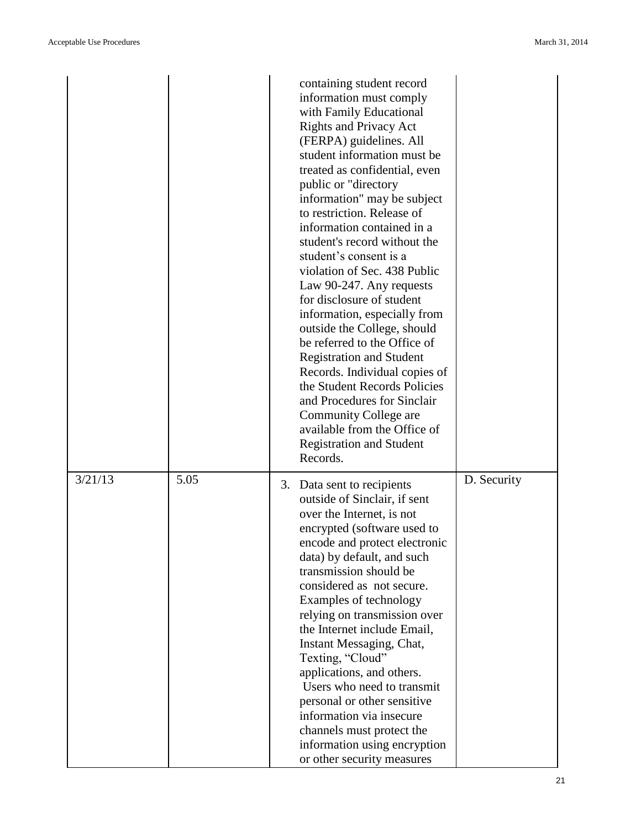|         |      | containing student record<br>information must comply<br>with Family Educational<br><b>Rights and Privacy Act</b><br>(FERPA) guidelines. All<br>student information must be<br>treated as confidential, even<br>public or "directory<br>information" may be subject<br>to restriction. Release of<br>information contained in a<br>student's record without the<br>student's consent is a<br>violation of Sec. 438 Public<br>Law 90-247. Any requests<br>for disclosure of student<br>information, especially from<br>outside the College, should<br>be referred to the Office of<br><b>Registration and Student</b><br>Records. Individual copies of<br>the Student Records Policies<br>and Procedures for Sinclair<br>Community College are<br>available from the Office of<br><b>Registration and Student</b><br>Records. |             |
|---------|------|-----------------------------------------------------------------------------------------------------------------------------------------------------------------------------------------------------------------------------------------------------------------------------------------------------------------------------------------------------------------------------------------------------------------------------------------------------------------------------------------------------------------------------------------------------------------------------------------------------------------------------------------------------------------------------------------------------------------------------------------------------------------------------------------------------------------------------|-------------|
| 3/21/13 | 5.05 | 3. Data sent to recipients<br>outside of Sinclair, if sent<br>over the Internet, is not<br>encrypted (software used to<br>encode and protect electronic<br>data) by default, and such<br>transmission should be<br>considered as not secure.<br>Examples of technology<br>relying on transmission over<br>the Internet include Email,<br>Instant Messaging, Chat,<br>Texting, "Cloud"<br>applications, and others.<br>Users who need to transmit<br>personal or other sensitive<br>information via insecure<br>channels must protect the<br>information using encryption<br>or other security measures                                                                                                                                                                                                                      | D. Security |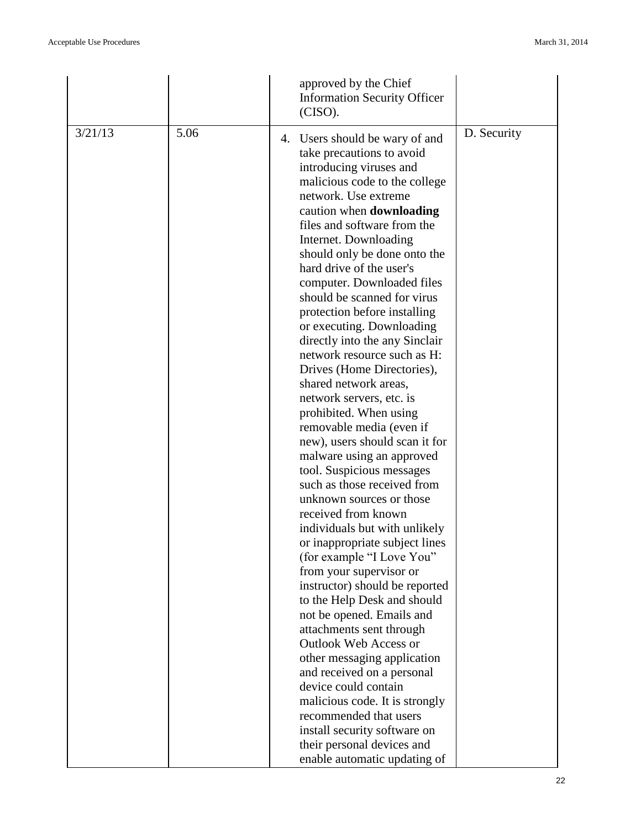| approved by the Chief<br><b>Information Security Officer</b><br>(CISO).                                                                                                                                                                                                                                                                                                                                                                                                                                                                                                                                                                                                                                                                                                                                                                                                                                                                                                                                                                                                                                                                                                                                                                                                                                                                         |             |
|-------------------------------------------------------------------------------------------------------------------------------------------------------------------------------------------------------------------------------------------------------------------------------------------------------------------------------------------------------------------------------------------------------------------------------------------------------------------------------------------------------------------------------------------------------------------------------------------------------------------------------------------------------------------------------------------------------------------------------------------------------------------------------------------------------------------------------------------------------------------------------------------------------------------------------------------------------------------------------------------------------------------------------------------------------------------------------------------------------------------------------------------------------------------------------------------------------------------------------------------------------------------------------------------------------------------------------------------------|-------------|
| 3/21/13<br>5.06<br>4. Users should be wary of and<br>take precautions to avoid<br>introducing viruses and<br>malicious code to the college<br>network. Use extreme<br>caution when <b>downloading</b><br>files and software from the<br>Internet. Downloading<br>should only be done onto the<br>hard drive of the user's<br>computer. Downloaded files<br>should be scanned for virus<br>protection before installing<br>or executing. Downloading<br>directly into the any Sinclair<br>network resource such as H:<br>Drives (Home Directories),<br>shared network areas,<br>network servers, etc. is<br>prohibited. When using<br>removable media (even if<br>new), users should scan it for<br>malware using an approved<br>tool. Suspicious messages<br>such as those received from<br>unknown sources or those<br>received from known<br>individuals but with unlikely<br>or inappropriate subject lines<br>(for example "I Love You"<br>from your supervisor or<br>instructor) should be reported<br>to the Help Desk and should<br>not be opened. Emails and<br>attachments sent through<br><b>Outlook Web Access or</b><br>other messaging application<br>and received on a personal<br>device could contain<br>malicious code. It is strongly<br>recommended that users<br>install security software on<br>their personal devices and | D. Security |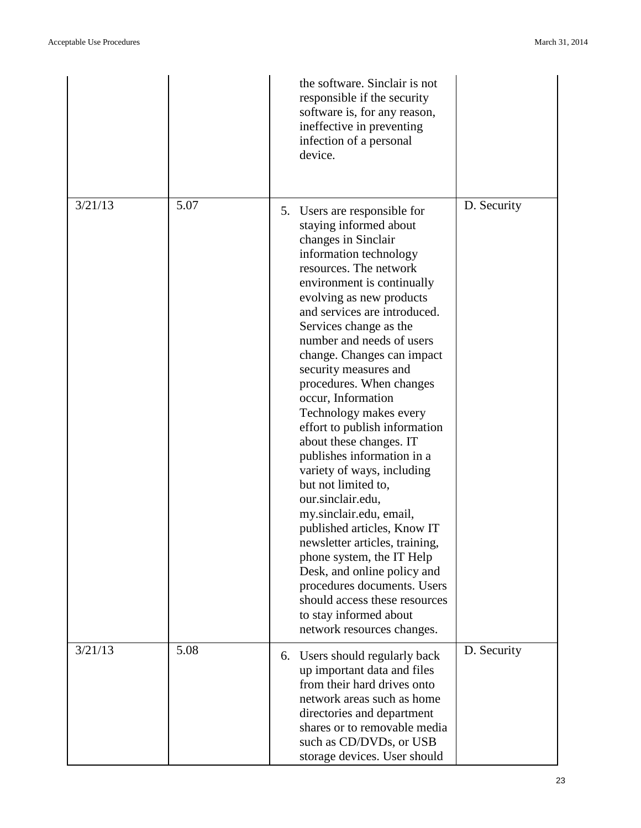|         |      | the software. Sinclair is not<br>responsible if the security<br>software is, for any reason,<br>ineffective in preventing<br>infection of a personal<br>device.                                                                                                                                                                                                                                                                                                                                                                                                                                                                                                                                                                                                                                                                                                           |             |
|---------|------|---------------------------------------------------------------------------------------------------------------------------------------------------------------------------------------------------------------------------------------------------------------------------------------------------------------------------------------------------------------------------------------------------------------------------------------------------------------------------------------------------------------------------------------------------------------------------------------------------------------------------------------------------------------------------------------------------------------------------------------------------------------------------------------------------------------------------------------------------------------------------|-------------|
| 3/21/13 | 5.07 | 5. Users are responsible for<br>staying informed about<br>changes in Sinclair<br>information technology<br>resources. The network<br>environment is continually<br>evolving as new products<br>and services are introduced.<br>Services change as the<br>number and needs of users<br>change. Changes can impact<br>security measures and<br>procedures. When changes<br>occur, Information<br>Technology makes every<br>effort to publish information<br>about these changes. IT<br>publishes information in a<br>variety of ways, including<br>but not limited to,<br>our.sinclair.edu,<br>my.sinclair.edu, email,<br>published articles, Know IT<br>newsletter articles, training,<br>phone system, the IT Help<br>Desk, and online policy and<br>procedures documents. Users<br>should access these resources<br>to stay informed about<br>network resources changes. | D. Security |
| 3/21/13 | 5.08 | 6. Users should regularly back<br>up important data and files<br>from their hard drives onto<br>network areas such as home<br>directories and department<br>shares or to removable media<br>such as CD/DVDs, or USB<br>storage devices. User should                                                                                                                                                                                                                                                                                                                                                                                                                                                                                                                                                                                                                       | D. Security |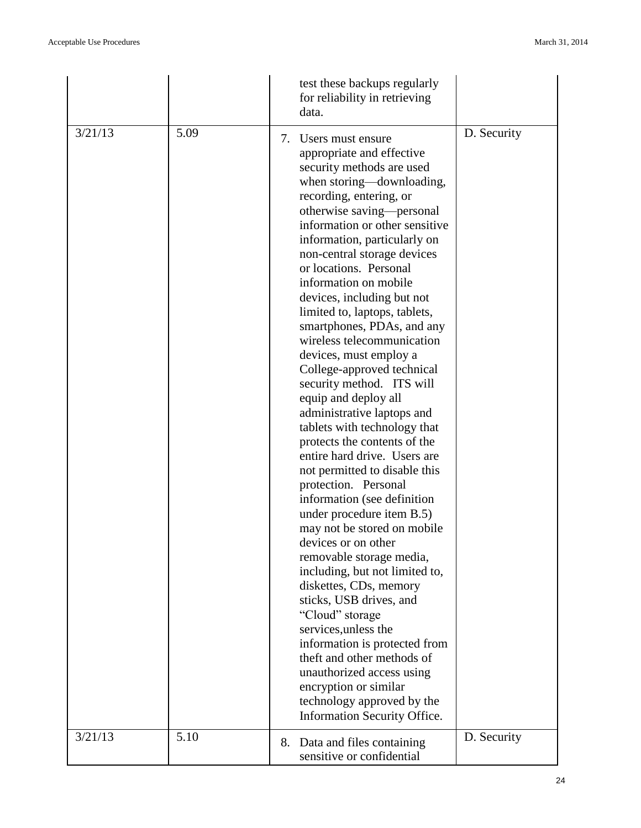|         |      | test these backups regularly<br>for reliability in retrieving<br>data.                                                                                                                                                                                                                                                                                                                                                                                                                                                                                                                                                                                                                                                                                                                                                                                                                                                                                                                                                                                                                                                                                                                                                     |             |
|---------|------|----------------------------------------------------------------------------------------------------------------------------------------------------------------------------------------------------------------------------------------------------------------------------------------------------------------------------------------------------------------------------------------------------------------------------------------------------------------------------------------------------------------------------------------------------------------------------------------------------------------------------------------------------------------------------------------------------------------------------------------------------------------------------------------------------------------------------------------------------------------------------------------------------------------------------------------------------------------------------------------------------------------------------------------------------------------------------------------------------------------------------------------------------------------------------------------------------------------------------|-------------|
| 3/21/13 | 5.09 | 7. Users must ensure<br>appropriate and effective<br>security methods are used<br>when storing—downloading,<br>recording, entering, or<br>otherwise saving-personal<br>information or other sensitive<br>information, particularly on<br>non-central storage devices<br>or locations. Personal<br>information on mobile<br>devices, including but not<br>limited to, laptops, tablets,<br>smartphones, PDAs, and any<br>wireless telecommunication<br>devices, must employ a<br>College-approved technical<br>security method. ITS will<br>equip and deploy all<br>administrative laptops and<br>tablets with technology that<br>protects the contents of the<br>entire hard drive. Users are<br>not permitted to disable this<br>protection. Personal<br>information (see definition)<br>under procedure item B.5)<br>may not be stored on mobile<br>devices or on other<br>removable storage media,<br>including, but not limited to,<br>diskettes, CDs, memory<br>sticks, USB drives, and<br>"Cloud" storage<br>services, unless the<br>information is protected from<br>theft and other methods of<br>unauthorized access using<br>encryption or similar<br>technology approved by the<br>Information Security Office. | D. Security |
| 3/21/13 | 5.10 | 8. Data and files containing<br>sensitive or confidential                                                                                                                                                                                                                                                                                                                                                                                                                                                                                                                                                                                                                                                                                                                                                                                                                                                                                                                                                                                                                                                                                                                                                                  | D. Security |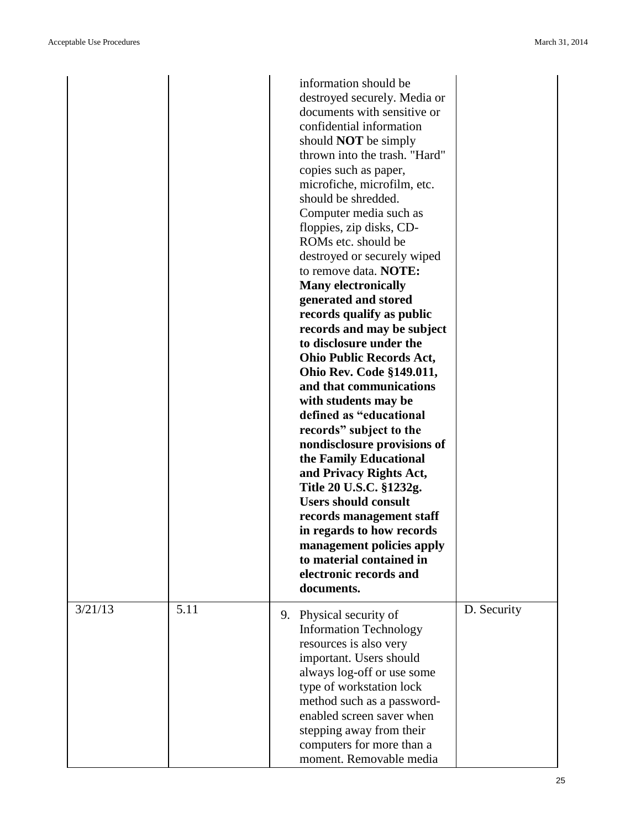|         |      |    | information should be           |             |
|---------|------|----|---------------------------------|-------------|
|         |      |    | destroyed securely. Media or    |             |
|         |      |    | documents with sensitive or     |             |
|         |      |    | confidential information        |             |
|         |      |    | should <b>NOT</b> be simply     |             |
|         |      |    | thrown into the trash. "Hard"   |             |
|         |      |    | copies such as paper,           |             |
|         |      |    | microfiche, microfilm, etc.     |             |
|         |      |    | should be shredded.             |             |
|         |      |    | Computer media such as          |             |
|         |      |    | floppies, zip disks, CD-        |             |
|         |      |    | ROMs etc. should be             |             |
|         |      |    | destroyed or securely wiped     |             |
|         |      |    | to remove data. NOTE:           |             |
|         |      |    | <b>Many electronically</b>      |             |
|         |      |    | generated and stored            |             |
|         |      |    | records qualify as public       |             |
|         |      |    | records and may be subject      |             |
|         |      |    | to disclosure under the         |             |
|         |      |    | <b>Ohio Public Records Act,</b> |             |
|         |      |    | <b>Ohio Rev. Code §149.011,</b> |             |
|         |      |    | and that communications         |             |
|         |      |    | with students may be            |             |
|         |      |    | defined as "educational         |             |
|         |      |    | records" subject to the         |             |
|         |      |    | nondisclosure provisions of     |             |
|         |      |    | the Family Educational          |             |
|         |      |    | and Privacy Rights Act,         |             |
|         |      |    | Title 20 U.S.C. §1232g.         |             |
|         |      |    | <b>Users should consult</b>     |             |
|         |      |    | records management staff        |             |
|         |      |    | in regards to how records       |             |
|         |      |    | management policies apply       |             |
|         |      |    | to material contained in        |             |
|         |      |    | electronic records and          |             |
|         |      |    | documents.                      |             |
|         |      |    |                                 |             |
| 3/21/13 | 5.11 | 9. | Physical security of            | D. Security |
|         |      |    | <b>Information Technology</b>   |             |
|         |      |    | resources is also very          |             |
|         |      |    | important. Users should         |             |
|         |      |    | always log-off or use some      |             |
|         |      |    | type of workstation lock        |             |
|         |      |    | method such as a password-      |             |
|         |      |    | enabled screen saver when       |             |
|         |      |    | stepping away from their        |             |
|         |      |    | computers for more than a       |             |
|         |      |    | moment. Removable media         |             |
|         |      |    |                                 |             |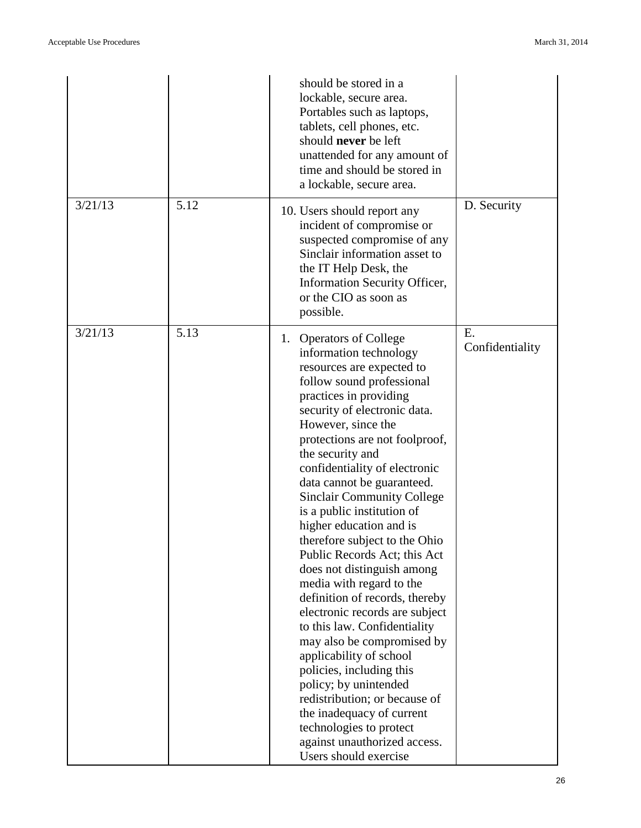|         |      | should be stored in a<br>lockable, secure area.<br>Portables such as laptops,<br>tablets, cell phones, etc.<br>should never be left<br>unattended for any amount of<br>time and should be stored in<br>a lockable, secure area.                                                                                                                                                                                                                                                                                                                                                                                                                                                                                                                                                                                                                                                                               |                       |
|---------|------|---------------------------------------------------------------------------------------------------------------------------------------------------------------------------------------------------------------------------------------------------------------------------------------------------------------------------------------------------------------------------------------------------------------------------------------------------------------------------------------------------------------------------------------------------------------------------------------------------------------------------------------------------------------------------------------------------------------------------------------------------------------------------------------------------------------------------------------------------------------------------------------------------------------|-----------------------|
| 3/21/13 | 5.12 | 10. Users should report any<br>incident of compromise or<br>suspected compromise of any<br>Sinclair information asset to<br>the IT Help Desk, the<br>Information Security Officer,<br>or the CIO as soon as<br>possible.                                                                                                                                                                                                                                                                                                                                                                                                                                                                                                                                                                                                                                                                                      | D. Security           |
| 3/21/13 | 5.13 | 1. Operators of College<br>information technology<br>resources are expected to<br>follow sound professional<br>practices in providing<br>security of electronic data.<br>However, since the<br>protections are not foolproof,<br>the security and<br>confidentiality of electronic<br>data cannot be guaranteed.<br><b>Sinclair Community College</b><br>is a public institution of<br>higher education and is<br>therefore subject to the Ohio<br>Public Records Act; this Act<br>does not distinguish among<br>media with regard to the<br>definition of records, thereby<br>electronic records are subject<br>to this law. Confidentiality<br>may also be compromised by<br>applicability of school<br>policies, including this<br>policy; by unintended<br>redistribution; or because of<br>the inadequacy of current<br>technologies to protect<br>against unauthorized access.<br>Users should exercise | E.<br>Confidentiality |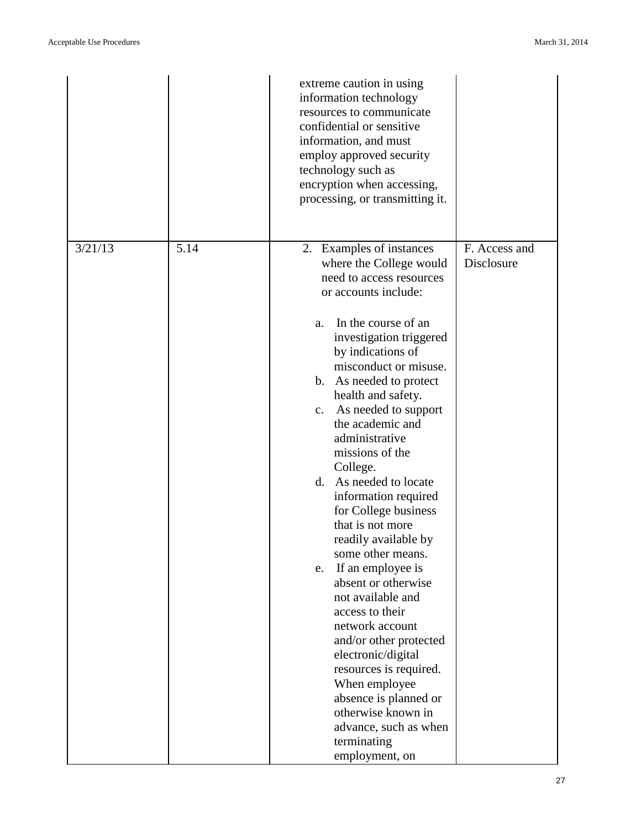|         |      | extreme caution in using<br>information technology<br>resources to communicate<br>confidential or sensitive<br>information, and must<br>employ approved security<br>technology such as<br>encryption when accessing,<br>processing, or transmitting it.                                                                                                                                                                                                                                                                                                                                                                                                                                                                                                                                                                       |                             |
|---------|------|-------------------------------------------------------------------------------------------------------------------------------------------------------------------------------------------------------------------------------------------------------------------------------------------------------------------------------------------------------------------------------------------------------------------------------------------------------------------------------------------------------------------------------------------------------------------------------------------------------------------------------------------------------------------------------------------------------------------------------------------------------------------------------------------------------------------------------|-----------------------------|
| 3/21/13 | 5.14 | 2. Examples of instances<br>where the College would<br>need to access resources<br>or accounts include:<br>In the course of an<br>a.<br>investigation triggered<br>by indications of<br>misconduct or misuse.<br>b. As needed to protect<br>health and safety.<br>c. As needed to support<br>the academic and<br>administrative<br>missions of the<br>College.<br>As needed to locate<br>d.<br>information required<br>for College business<br>that is not more<br>readily available by<br>some other means.<br>If an employee is<br>e.<br>absent or otherwise<br>not available and<br>access to their<br>network account<br>and/or other protected<br>electronic/digital<br>resources is required.<br>When employee<br>absence is planned or<br>otherwise known in<br>advance, such as when<br>terminating<br>employment, on | F. Access and<br>Disclosure |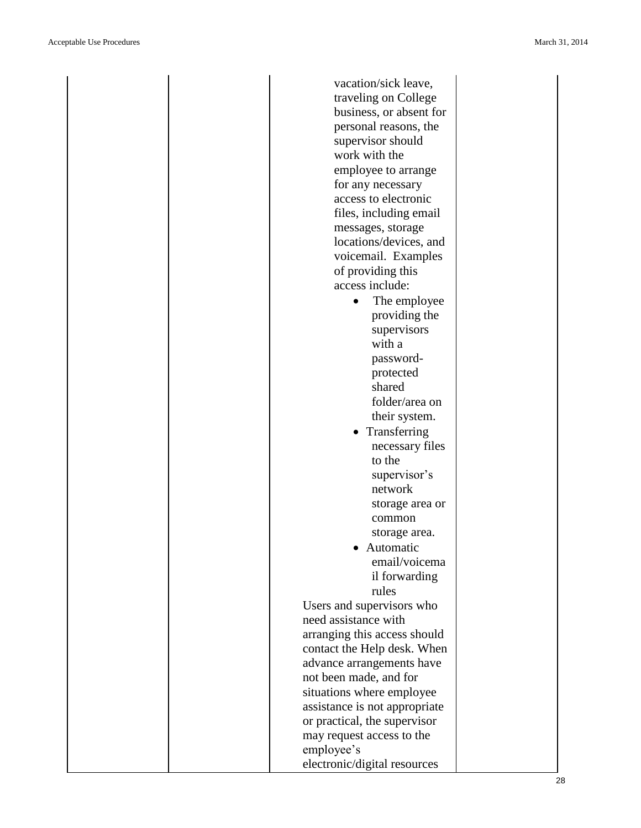| vacation/sick leave,          |  |
|-------------------------------|--|
| traveling on College          |  |
| business, or absent for       |  |
| personal reasons, the         |  |
| supervisor should             |  |
| work with the                 |  |
| employee to arrange           |  |
| for any necessary             |  |
| access to electronic          |  |
| files, including email        |  |
| messages, storage             |  |
| locations/devices, and        |  |
| voicemail. Examples           |  |
| of providing this             |  |
| access include:               |  |
| The employee                  |  |
| providing the                 |  |
| supervisors                   |  |
| with a                        |  |
| password-                     |  |
| protected                     |  |
| shared                        |  |
| folder/area on                |  |
| their system.                 |  |
| Transferring                  |  |
| necessary files               |  |
| to the                        |  |
| supervisor's                  |  |
| network                       |  |
| storage area or               |  |
| common                        |  |
| storage area.                 |  |
| Automatic                     |  |
| email/voicema                 |  |
| il forwarding                 |  |
| rules                         |  |
|                               |  |
| Users and supervisors who     |  |
| need assistance with          |  |
| arranging this access should  |  |
| contact the Help desk. When   |  |
| advance arrangements have     |  |
| not been made, and for        |  |
| situations where employee     |  |
| assistance is not appropriate |  |
| or practical, the supervisor  |  |
| may request access to the     |  |
| employee's                    |  |
| electronic/digital resources  |  |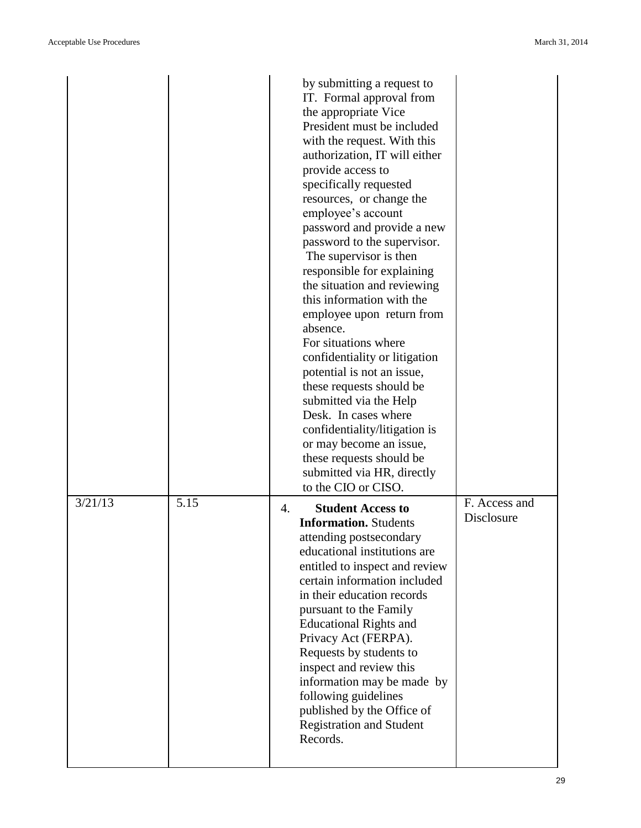|         |      | by submitting a request to<br>IT. Formal approval from<br>the appropriate Vice<br>President must be included<br>with the request. With this<br>authorization, IT will either<br>provide access to<br>specifically requested<br>resources, or change the<br>employee's account<br>password and provide a new<br>password to the supervisor.<br>The supervisor is then<br>responsible for explaining<br>the situation and reviewing<br>this information with the<br>employee upon return from<br>absence.<br>For situations where<br>confidentiality or litigation<br>potential is not an issue,<br>these requests should be<br>submitted via the Help<br>Desk. In cases where<br>confidentiality/litigation is<br>or may become an issue,<br>these requests should be<br>submitted via HR, directly<br>to the CIO or CISO. |                             |
|---------|------|---------------------------------------------------------------------------------------------------------------------------------------------------------------------------------------------------------------------------------------------------------------------------------------------------------------------------------------------------------------------------------------------------------------------------------------------------------------------------------------------------------------------------------------------------------------------------------------------------------------------------------------------------------------------------------------------------------------------------------------------------------------------------------------------------------------------------|-----------------------------|
| 3/21/13 | 5.15 | <b>Student Access to</b><br>4.<br><b>Information.</b> Students<br>attending postsecondary<br>educational institutions are<br>entitled to inspect and review<br>certain information included<br>in their education records<br>pursuant to the Family<br><b>Educational Rights and</b><br>Privacy Act (FERPA).<br>Requests by students to<br>inspect and review this<br>information may be made by<br>following guidelines<br>published by the Office of<br><b>Registration and Student</b><br>Records.                                                                                                                                                                                                                                                                                                                     | F. Access and<br>Disclosure |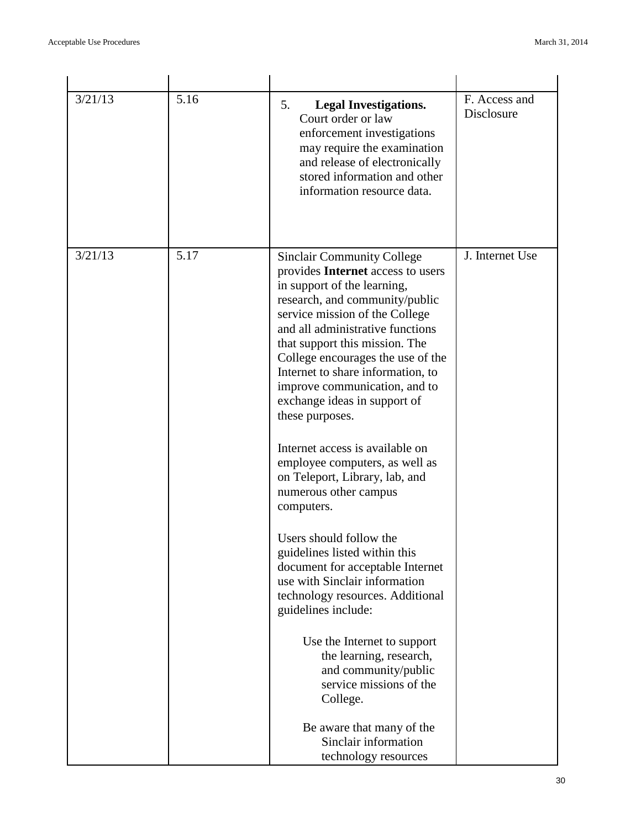| 3/21/13 | 5.16 | 5.<br><b>Legal Investigations.</b><br>Court order or law<br>enforcement investigations<br>may require the examination<br>and release of electronically<br>stored information and other<br>information resource data.                                                                                                                                                                                                                                                                                                                                                                                                                                                                                                                                                                   | F. Access and<br>Disclosure |
|---------|------|----------------------------------------------------------------------------------------------------------------------------------------------------------------------------------------------------------------------------------------------------------------------------------------------------------------------------------------------------------------------------------------------------------------------------------------------------------------------------------------------------------------------------------------------------------------------------------------------------------------------------------------------------------------------------------------------------------------------------------------------------------------------------------------|-----------------------------|
| 3/21/13 | 5.17 | <b>Sinclair Community College</b><br>provides Internet access to users<br>in support of the learning,<br>research, and community/public<br>service mission of the College<br>and all administrative functions<br>that support this mission. The<br>College encourages the use of the<br>Internet to share information, to<br>improve communication, and to<br>exchange ideas in support of<br>these purposes.<br>Internet access is available on<br>employee computers, as well as<br>on Teleport, Library, lab, and<br>numerous other campus<br>computers.<br>Users should follow the<br>guidelines listed within this<br>document for acceptable Internet<br>use with Sinclair information<br>technology resources. Additional<br>guidelines include:<br>Use the Internet to support | J. Internet Use             |
|         |      | the learning, research,<br>and community/public<br>service missions of the<br>College.<br>Be aware that many of the<br>Sinclair information                                                                                                                                                                                                                                                                                                                                                                                                                                                                                                                                                                                                                                            |                             |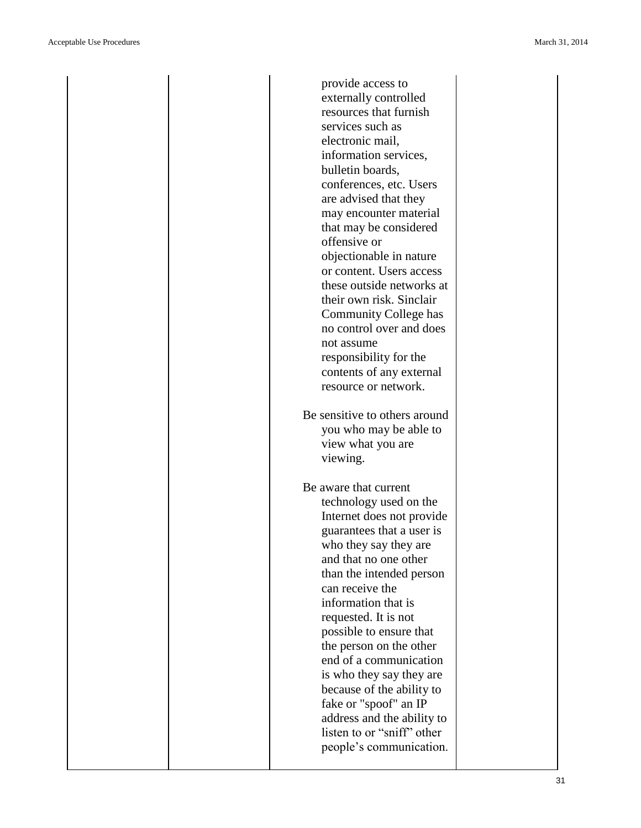| provide access to                                                                        |
|------------------------------------------------------------------------------------------|
| externally controlled                                                                    |
| resources that furnish                                                                   |
| services such as                                                                         |
|                                                                                          |
| electronic mail,                                                                         |
| information services,                                                                    |
| bulletin boards,                                                                         |
| conferences, etc. Users                                                                  |
| are advised that they                                                                    |
| may encounter material                                                                   |
| that may be considered                                                                   |
| offensive or                                                                             |
|                                                                                          |
| objectionable in nature                                                                  |
| or content. Users access                                                                 |
| these outside networks at                                                                |
| their own risk. Sinclair                                                                 |
| Community College has                                                                    |
| no control over and does                                                                 |
| not assume                                                                               |
|                                                                                          |
| responsibility for the                                                                   |
| contents of any external                                                                 |
| resource or network.                                                                     |
| Be sensitive to others around<br>you who may be able to<br>view what you are<br>viewing. |
|                                                                                          |
| Be aware that current                                                                    |
| technology used on the                                                                   |
| Internet does not provide                                                                |
| guarantees that a user is                                                                |
|                                                                                          |
| who they say they are                                                                    |
| and that no one other                                                                    |
| than the intended person                                                                 |
| can receive the                                                                          |
| information that is                                                                      |
| requested. It is not                                                                     |
| possible to ensure that                                                                  |
| the person on the other                                                                  |
| end of a communication                                                                   |
|                                                                                          |
| is who they say they are                                                                 |
| because of the ability to                                                                |
| fake or "spoof" an IP                                                                    |
| address and the ability to                                                               |
| listen to or "sniff" other                                                               |
| people's communication.                                                                  |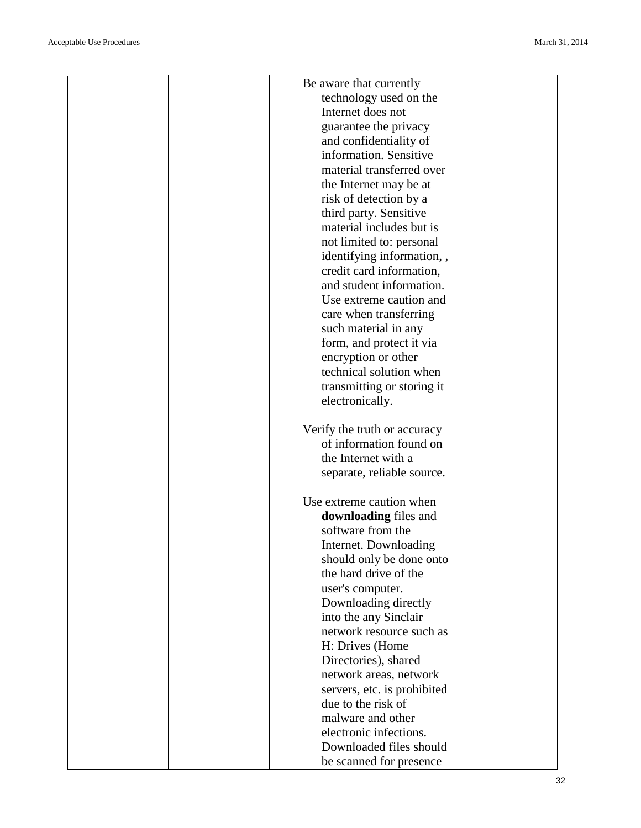| Be aware that currently                           |
|---------------------------------------------------|
| technology used on the                            |
| Internet does not                                 |
| guarantee the privacy                             |
| and confidentiality of                            |
| information. Sensitive                            |
| material transferred over                         |
| the Internet may be at                            |
| risk of detection by a                            |
| third party. Sensitive                            |
| material includes but is                          |
| not limited to: personal                          |
| identifying information,,                         |
| credit card information,                          |
| and student information.                          |
| Use extreme caution and                           |
| care when transferring                            |
| such material in any                              |
| form, and protect it via                          |
| encryption or other                               |
| technical solution when                           |
| transmitting or storing it                        |
| electronically.                                   |
|                                                   |
|                                                   |
| Verify the truth or accuracy                      |
| of information found on                           |
| the Internet with a                               |
| separate, reliable source.                        |
|                                                   |
| Use extreme caution when                          |
| downloading files and                             |
| software from the                                 |
| Internet. Downloading                             |
| should only be done onto<br>the hard drive of the |
|                                                   |
| user's computer.                                  |
| Downloading directly                              |
| into the any Sinclair<br>network resource such as |
| H: Drives (Home                                   |
| Directories), shared                              |
| network areas, network                            |
|                                                   |
| servers, etc. is prohibited<br>due to the risk of |
| malware and other                                 |
| electronic infections.                            |
| Downloaded files should                           |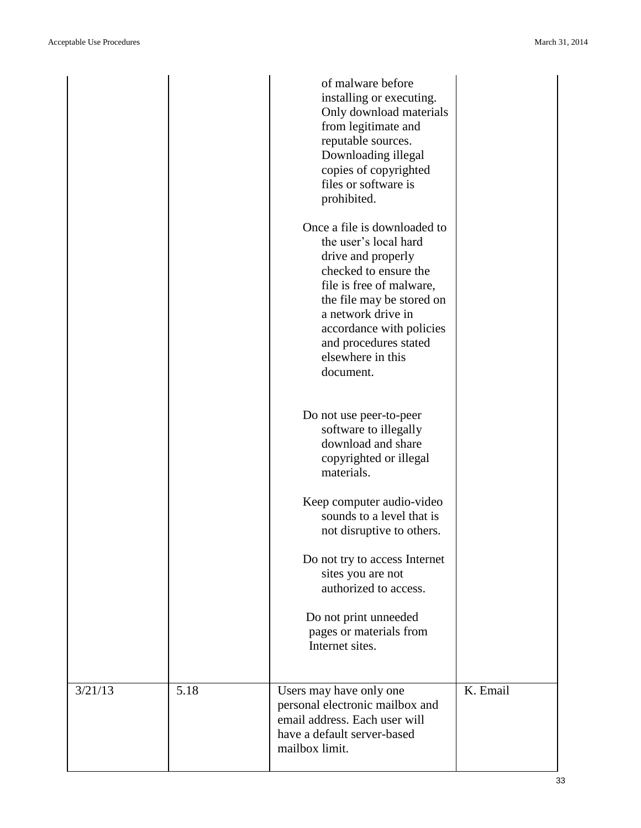|         |      | of malware before<br>installing or executing.<br>Only download materials<br>from legitimate and<br>reputable sources.<br>Downloading illegal<br>copies of copyrighted<br>files or software is<br>prohibited.<br>Once a file is downloaded to<br>the user's local hard<br>drive and properly<br>checked to ensure the<br>file is free of malware,<br>the file may be stored on<br>a network drive in<br>accordance with policies<br>and procedures stated<br>elsewhere in this<br>document.<br>Do not use peer-to-peer<br>software to illegally<br>download and share<br>copyrighted or illegal<br>materials.<br>Keep computer audio-video<br>sounds to a level that is<br>not disruptive to others.<br>Do not try to access Internet<br>sites you are not |          |
|---------|------|-----------------------------------------------------------------------------------------------------------------------------------------------------------------------------------------------------------------------------------------------------------------------------------------------------------------------------------------------------------------------------------------------------------------------------------------------------------------------------------------------------------------------------------------------------------------------------------------------------------------------------------------------------------------------------------------------------------------------------------------------------------|----------|
|         |      | authorized to access.                                                                                                                                                                                                                                                                                                                                                                                                                                                                                                                                                                                                                                                                                                                                     |          |
|         |      | Do not print unneeded<br>pages or materials from<br>Internet sites.                                                                                                                                                                                                                                                                                                                                                                                                                                                                                                                                                                                                                                                                                       |          |
| 3/21/13 | 5.18 | Users may have only one<br>personal electronic mailbox and<br>email address. Each user will<br>have a default server-based<br>mailbox limit.                                                                                                                                                                                                                                                                                                                                                                                                                                                                                                                                                                                                              | K. Email |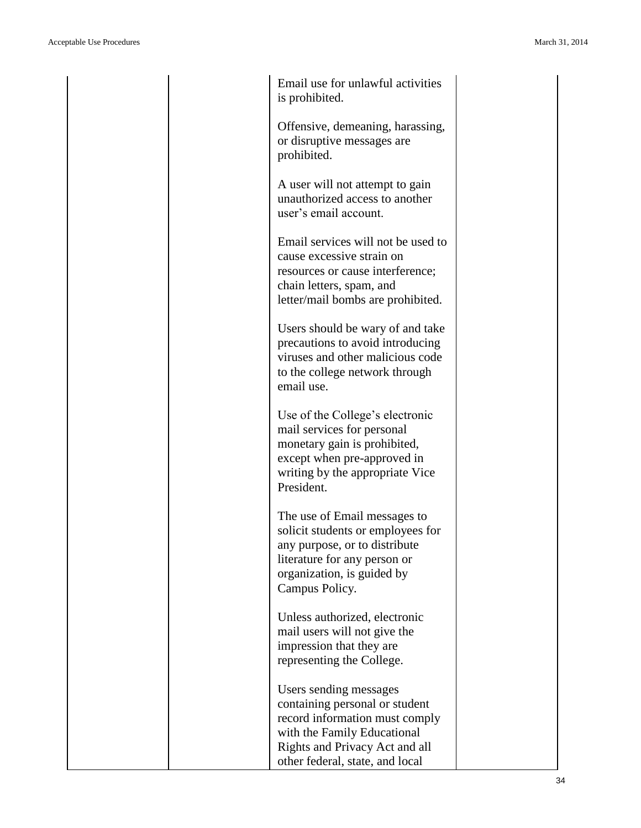| Email use for unlawful activities<br>is prohibited.                                                                                                                                |
|------------------------------------------------------------------------------------------------------------------------------------------------------------------------------------|
| Offensive, demeaning, harassing,<br>or disruptive messages are<br>prohibited.                                                                                                      |
| A user will not attempt to gain<br>unauthorized access to another<br>user's email account.                                                                                         |
| Email services will not be used to<br>cause excessive strain on<br>resources or cause interference;<br>chain letters, spam, and<br>letter/mail bombs are prohibited.               |
| Users should be wary of and take<br>precautions to avoid introducing<br>viruses and other malicious code<br>to the college network through<br>email use.                           |
| Use of the College's electronic<br>mail services for personal<br>monetary gain is prohibited,<br>except when pre-approved in<br>writing by the appropriate Vice<br>President.      |
| The use of Email messages to<br>solicit students or employees for<br>any purpose, or to distribute<br>literature for any person or<br>organization, is guided by<br>Campus Policy. |
| Unless authorized, electronic<br>mail users will not give the<br>impression that they are<br>representing the College.                                                             |
| Users sending messages<br>containing personal or student<br>record information must comply<br>with the Family Educational<br>Rights and Privacy Act and all                        |

other federal, state, and local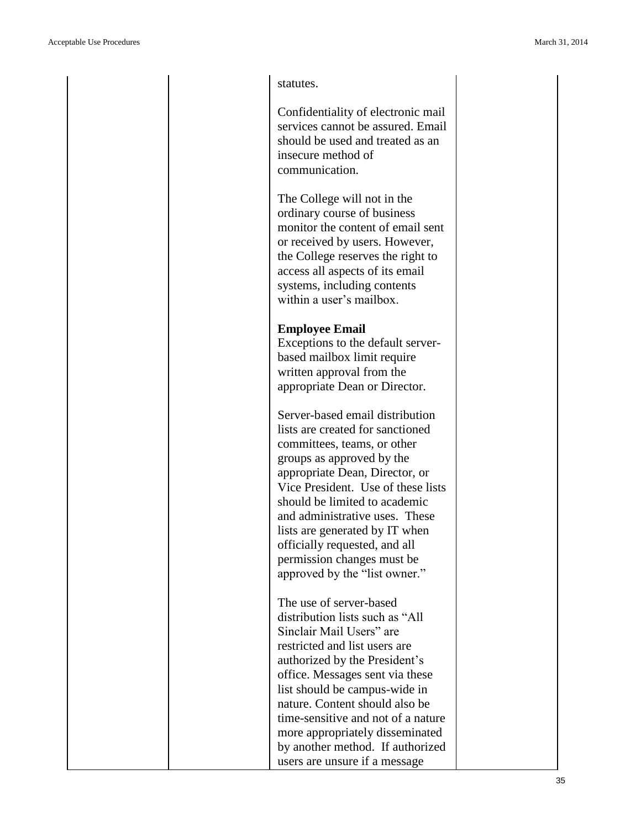statutes.

Confidentiality of electronic mail services cannot be assured. Email should be used and treated as an insecure method of communication.

The College will not in the ordinary course of business monitor the content of email sent or received by users. However, the College reserves the right to access all aspects of its email systems, including contents within a user's mailbox.

#### **Employee Email**

Exceptions to the default server based mailbox limit require written approval from the appropriate Dean or Director.

Server -based email distribution lists are created for sanctioned committees, teams, or other groups as approved by the appropriate Dean, Director, or Vice President. Use of these lists should be limited to academic and administrative uses. These lists are generated by IT when officially requested, and all permission changes must be approved by the "list owner."

The use of server -based distribution lists such as "All Sinclair Mail Users" are restricted and list users are authorized by the President's office. Messages sent via these list should be campus -wide in nature. Content should also be time -sensitive and not of a nature more appropriately disseminated by another method. If authorized users are unsure if a message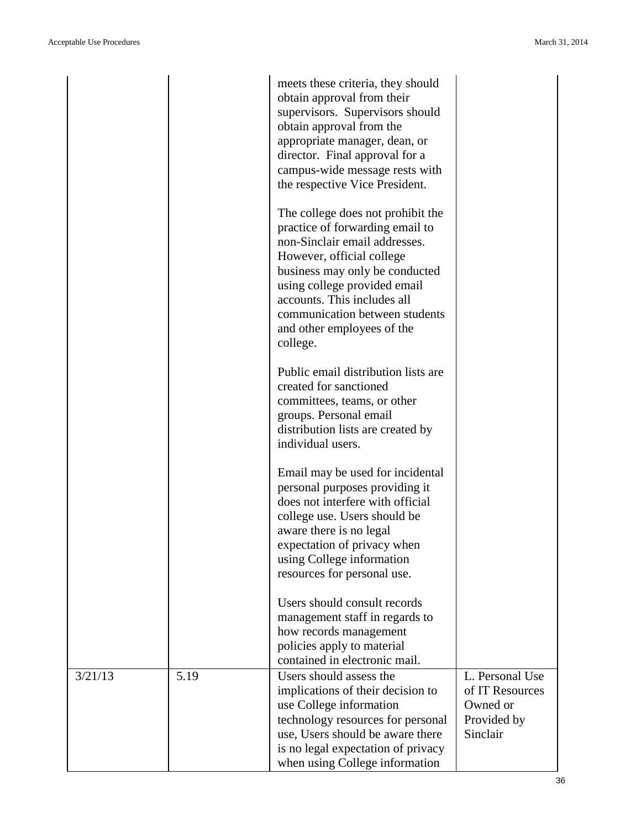|         |      | meets these criteria, they should<br>obtain approval from their<br>supervisors. Supervisors should<br>obtain approval from the<br>appropriate manager, dean, or<br>director. Final approval for a<br>campus-wide message rests with<br>the respective Vice President.                                           |                                                                           |
|---------|------|-----------------------------------------------------------------------------------------------------------------------------------------------------------------------------------------------------------------------------------------------------------------------------------------------------------------|---------------------------------------------------------------------------|
|         |      | The college does not prohibit the<br>practice of forwarding email to<br>non-Sinclair email addresses.<br>However, official college<br>business may only be conducted<br>using college provided email<br>accounts. This includes all<br>communication between students<br>and other employees of the<br>college. |                                                                           |
|         |      | Public email distribution lists are<br>created for sanctioned<br>committees, teams, or other<br>groups. Personal email<br>distribution lists are created by<br>individual users.                                                                                                                                |                                                                           |
|         |      | Email may be used for incidental<br>personal purposes providing it<br>does not interfere with official<br>college use. Users should be<br>aware there is no legal<br>expectation of privacy when<br>using College information<br>resources for personal use.                                                    |                                                                           |
|         |      | Users should consult records<br>management staff in regards to<br>how records management<br>policies apply to material<br>contained in electronic mail.                                                                                                                                                         |                                                                           |
| 3/21/13 | 5.19 | Users should assess the<br>implications of their decision to<br>use College information<br>technology resources for personal<br>use, Users should be aware there<br>is no legal expectation of privacy<br>when using College information                                                                        | L. Personal Use<br>of IT Resources<br>Owned or<br>Provided by<br>Sinclair |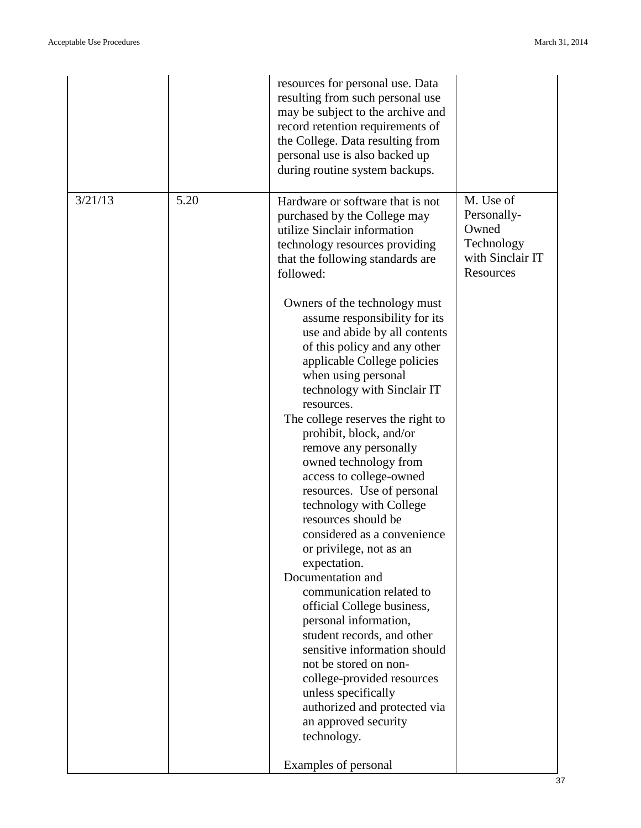|         |      | resources for personal use. Data<br>resulting from such personal use<br>may be subject to the archive and<br>record retention requirements of<br>the College. Data resulting from<br>personal use is also backed up<br>during routine system backups. |                                                                                  |
|---------|------|-------------------------------------------------------------------------------------------------------------------------------------------------------------------------------------------------------------------------------------------------------|----------------------------------------------------------------------------------|
| 3/21/13 | 5.20 | Hardware or software that is not<br>purchased by the College may<br>utilize Sinclair information<br>technology resources providing<br>that the following standards are<br>followed:<br>Owners of the technology must<br>assume responsibility for its | M. Use of<br>Personally-<br>Owned<br>Technology<br>with Sinclair IT<br>Resources |
|         |      | use and abide by all contents<br>of this policy and any other<br>applicable College policies<br>when using personal<br>technology with Sinclair IT<br>resources.                                                                                      |                                                                                  |
|         |      | The college reserves the right to<br>prohibit, block, and/or<br>remove any personally<br>owned technology from<br>access to college-owned                                                                                                             |                                                                                  |
|         |      | resources. Use of personal<br>technology with College<br>resources should be<br>considered as a convenience<br>or privilege, not as an<br>expectation.                                                                                                |                                                                                  |
|         |      | Documentation and<br>communication related to<br>official College business,<br>personal information,<br>student records, and other<br>sensitive information should                                                                                    |                                                                                  |
|         |      | not be stored on non-<br>college-provided resources<br>unless specifically<br>authorized and protected via<br>an approved security<br>technology.                                                                                                     |                                                                                  |
|         |      | Examples of personal                                                                                                                                                                                                                                  |                                                                                  |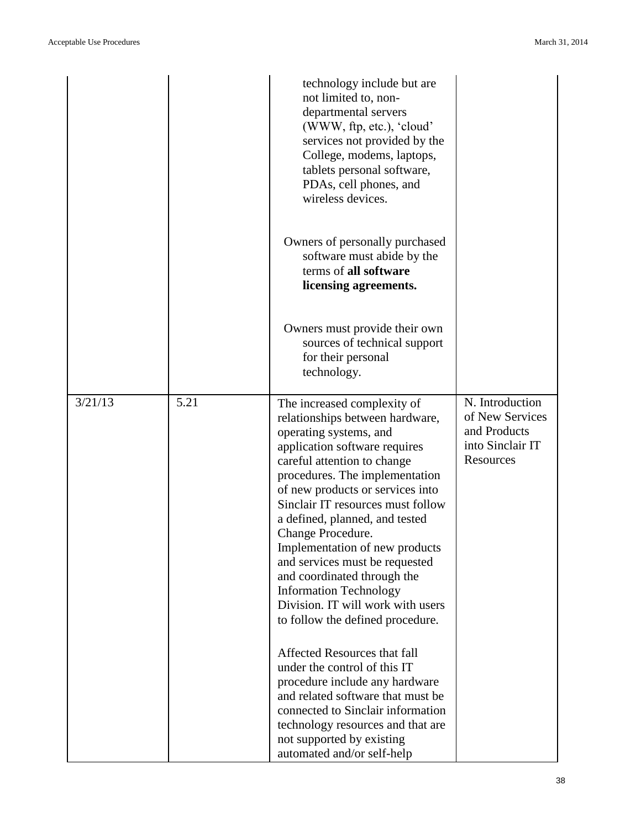|         |      | technology include but are<br>not limited to, non-<br>departmental servers<br>(WWW, ftp, etc.), 'cloud'<br>services not provided by the<br>College, modems, laptops,<br>tablets personal software,<br>PDAs, cell phones, and<br>wireless devices.                                                                                                                                                                                                                                                                                       |                                                                                     |
|---------|------|-----------------------------------------------------------------------------------------------------------------------------------------------------------------------------------------------------------------------------------------------------------------------------------------------------------------------------------------------------------------------------------------------------------------------------------------------------------------------------------------------------------------------------------------|-------------------------------------------------------------------------------------|
|         |      | Owners of personally purchased<br>software must abide by the<br>terms of all software<br>licensing agreements.                                                                                                                                                                                                                                                                                                                                                                                                                          |                                                                                     |
|         |      | Owners must provide their own<br>sources of technical support<br>for their personal<br>technology.                                                                                                                                                                                                                                                                                                                                                                                                                                      |                                                                                     |
| 3/21/13 | 5.21 | The increased complexity of<br>relationships between hardware,<br>operating systems, and<br>application software requires<br>careful attention to change<br>procedures. The implementation<br>of new products or services into<br>Sinclair IT resources must follow<br>a defined, planned, and tested<br>Change Procedure.<br>Implementation of new products<br>and services must be requested<br>and coordinated through the<br><b>Information Technology</b><br>Division. IT will work with users<br>to follow the defined procedure. | N. Introduction<br>of New Services<br>and Products<br>into Sinclair IT<br>Resources |
|         |      | Affected Resources that fall<br>under the control of this IT<br>procedure include any hardware<br>and related software that must be<br>connected to Sinclair information<br>technology resources and that are<br>not supported by existing<br>automated and/or self-help                                                                                                                                                                                                                                                                |                                                                                     |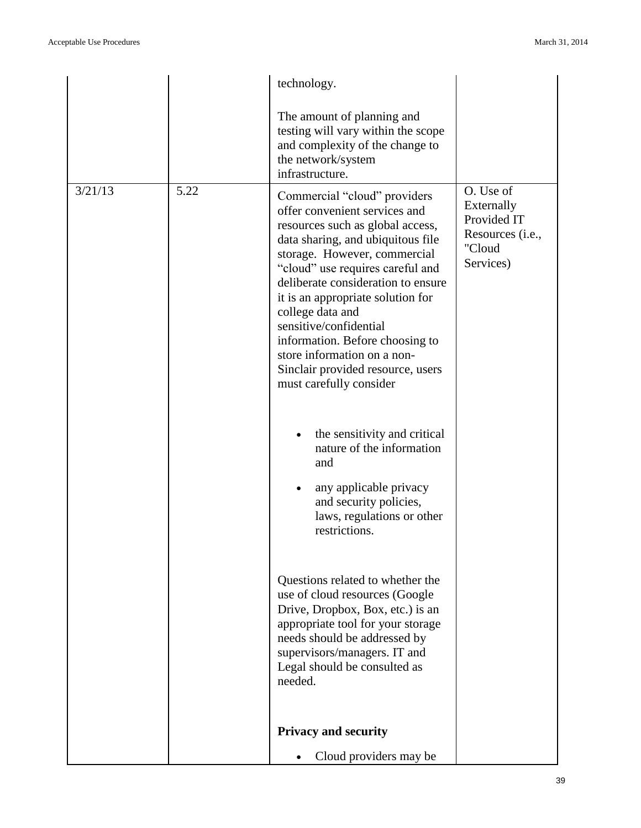|         |      | technology.                                                                                                                                                                                                                                                                                                                                                                                                                                                           |                                                                                   |
|---------|------|-----------------------------------------------------------------------------------------------------------------------------------------------------------------------------------------------------------------------------------------------------------------------------------------------------------------------------------------------------------------------------------------------------------------------------------------------------------------------|-----------------------------------------------------------------------------------|
|         |      | The amount of planning and<br>testing will vary within the scope<br>and complexity of the change to<br>the network/system<br>infrastructure.                                                                                                                                                                                                                                                                                                                          |                                                                                   |
| 3/21/13 | 5.22 | Commercial "cloud" providers<br>offer convenient services and<br>resources such as global access,<br>data sharing, and ubiquitous file<br>storage. However, commercial<br>"cloud" use requires careful and<br>deliberate consideration to ensure<br>it is an appropriate solution for<br>college data and<br>sensitive/confidential<br>information. Before choosing to<br>store information on a non-<br>Sinclair provided resource, users<br>must carefully consider | O. Use of<br>Externally<br>Provided IT<br>Resources (i.e.,<br>"Cloud<br>Services) |
|         |      | the sensitivity and critical<br>$\bullet$<br>nature of the information<br>and<br>any applicable privacy<br>and security policies,<br>laws, regulations or other<br>restrictions.                                                                                                                                                                                                                                                                                      |                                                                                   |
|         |      | Questions related to whether the<br>use of cloud resources (Google<br>Drive, Dropbox, Box, etc.) is an<br>appropriate tool for your storage<br>needs should be addressed by<br>supervisors/managers. IT and<br>Legal should be consulted as<br>needed.                                                                                                                                                                                                                |                                                                                   |
|         |      | <b>Privacy and security</b>                                                                                                                                                                                                                                                                                                                                                                                                                                           |                                                                                   |
|         |      | Cloud providers may be                                                                                                                                                                                                                                                                                                                                                                                                                                                |                                                                                   |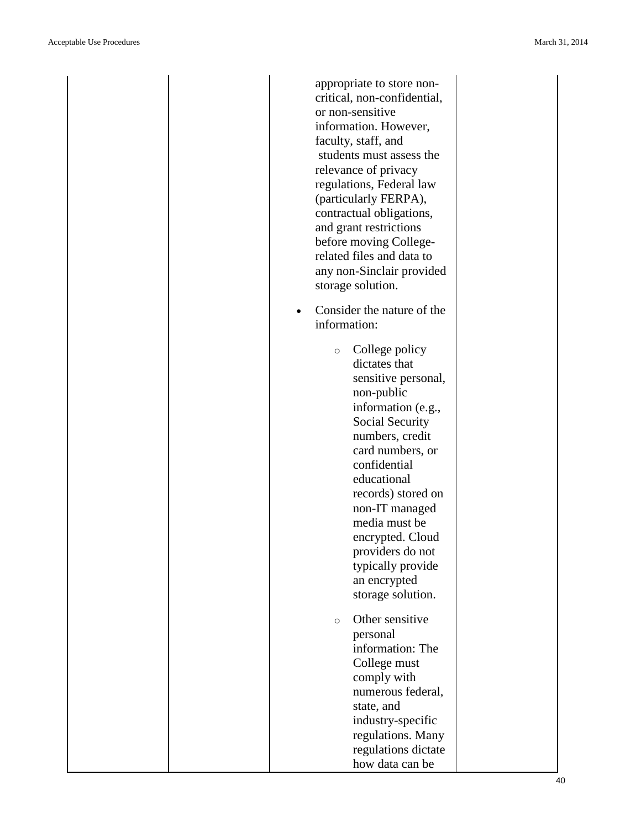appropriate to store non critical, non -confidential, or non -sensitive information. However, faculty, staff, and students must assess the relevance of privacy regulations, Federal law (particularly FERPA), contractual obligations, and grant restrictions before moving College related files and data to any non -Sinclair provided storage solution. • Consider the nature of the information: o College policy dictates that sensitive personal, non -public information (e.g., Social Security numbers, credit card numbers, or confidential educational records) stored on non -IT managed media must be encrypted. Cloud providers do not typically provide an encrypted storage solution. o Other sensitive personal information: The College must comply with numerous federal, state, and industry -specific regulations. Many regulations dictate how data can be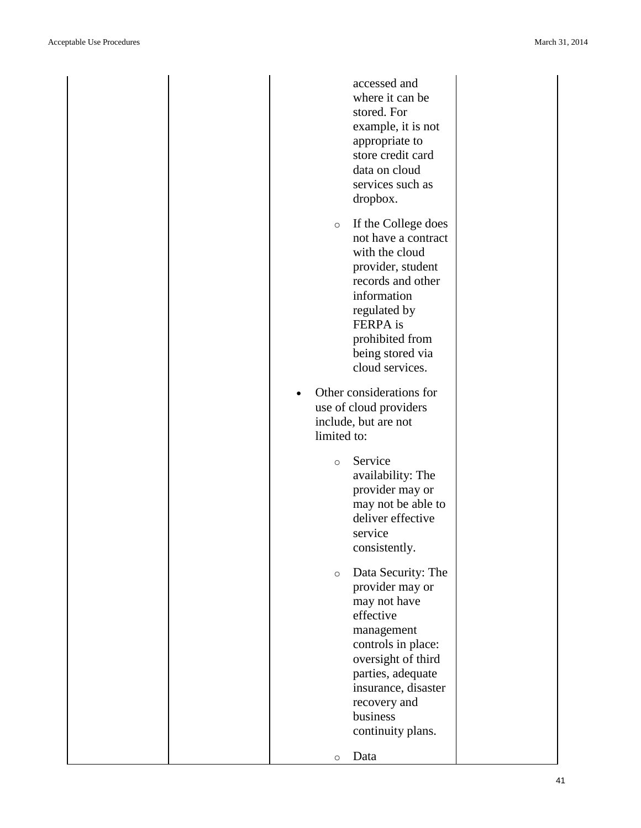|  |             | accessed and<br>where it can be<br>stored. For<br>example, it is not<br>appropriate to<br>store credit card<br>data on cloud<br>services such as<br>dropbox.                                                              |  |
|--|-------------|---------------------------------------------------------------------------------------------------------------------------------------------------------------------------------------------------------------------------|--|
|  | $\circ$     | If the College does<br>not have a contract<br>with the cloud<br>provider, student<br>records and other<br>information<br>regulated by<br><b>FERPA</b> is<br>prohibited from<br>being stored via<br>cloud services.        |  |
|  | limited to: | Other considerations for<br>use of cloud providers<br>include, but are not                                                                                                                                                |  |
|  | $\circ$     | Service<br>availability: The<br>provider may or<br>may not be able to<br>deliver effective<br>service<br>consistently.                                                                                                    |  |
|  | $\circ$     | Data Security: The<br>provider may or<br>may not have<br>effective<br>management<br>controls in place:<br>oversight of third<br>parties, adequate<br>insurance, disaster<br>recovery and<br>business<br>continuity plans. |  |
|  | $\circ$     | Data                                                                                                                                                                                                                      |  |